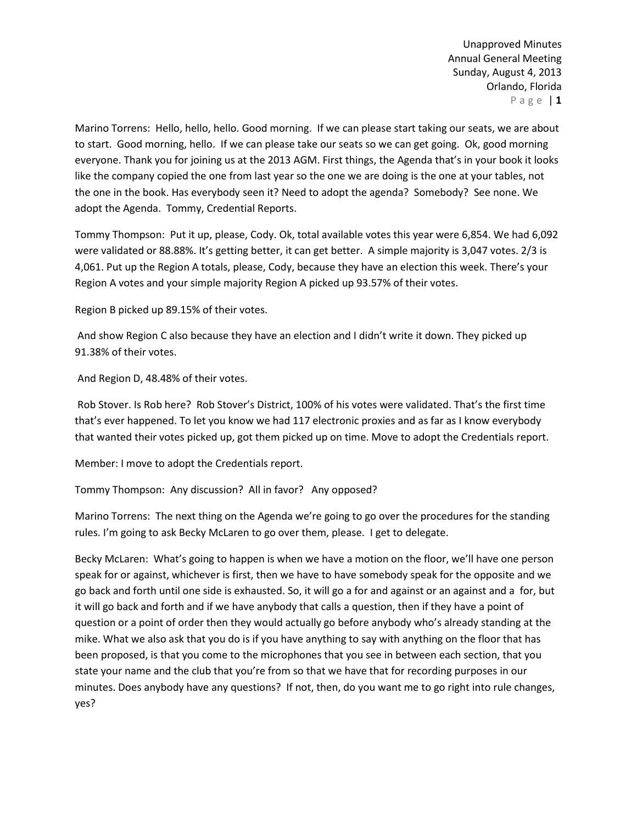Marino Torrens: Hello, hello, hello. Good morning. If we can please start taking our seats, we are about to start. Good morning, hello. If we can please take our seats so we can get going. Ok, good morning everyone. Thank you for joining us at the 2013 AGM. First things, the Agenda that's in your book it looks like the company copied the one from last year so the one we are doing is the one at your tables, not the one in the book. Has everybody seen it? Need to adopt the agenda? Somebody? See none. We adopt the Agenda. Tommy, Credential Reports.

Tommy Thompson: Put it up, please, Cody. Ok, total available votes this year were 6,854. We had 6,092 were validated or 88.88%. It's getting better, it can get better. A simple majority is 3,047 votes. 2/3 is 4,061. Put up the Region A totals, please, Cody, because they have an election this week. There's your Region A votes and your simple majority Region A picked up 93.57% of their votes.

Region B picked up 89.15% of their votes.

And show Region C also because they have an election and I didn't write it down. They picked up 91.38% of their votes.

And Region D, 48.48% of their votes.

Rob Stover. Is Rob here? Rob Stover's District, 100% of his votes were validated. That's the first time that's ever happened. To let you know we had 117 electronic proxies and as far as I know everybody that wanted their votes picked up, got them picked up on time. Move to adopt the Credentials report.

Member: I move to adopt the Credentials report.

Tommy Thompson: Any discussion? All in favor? Any opposed?

Marino Torrens: The next thing on the Agenda we're going to go over the procedures for the standing rules. I'm going to ask Becky McLaren to go over them, please. I get to delegate.

Becky McLaren: What's going to happen is when we have a motion on the floor, we'll have one person speak for or against, whichever is first, then we have to have somebody speak for the opposite and we go back and forth until one side is exhausted. So, it will go a for and against or an against and a for, but it will go back and forth and if we have anybody that calls a question, then if they have a point of question or a point of order then they would actually go before anybody who's already standing at the mike. What we also ask that you do is if you have anything to say with anything on the floor that has been proposed, is that you come to the microphones that you see in between each section, that you state your name and the club that you're from so that we have that for recording purposes in our minutes. Does anybody have any questions? If not, then, do you want me to go right into rule changes, yes?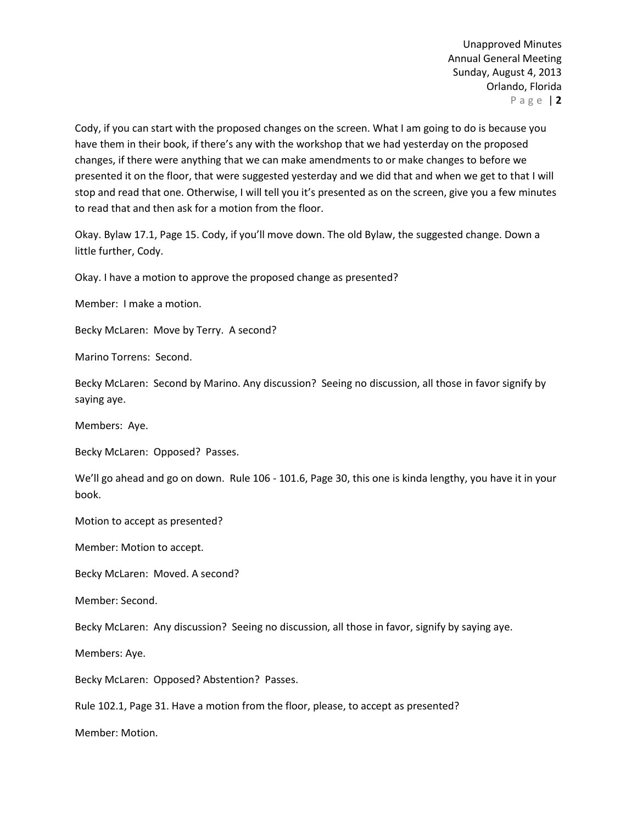Cody, if you can start with the proposed changes on the screen. What I am going to do is because you have them in their book, if there's any with the workshop that we had yesterday on the proposed changes, if there were anything that we can make amendments to or make changes to before we presented it on the floor, that were suggested yesterday and we did that and when we get to that I will stop and read that one. Otherwise, I will tell you it's presented as on the screen, give you a few minutes to read that and then ask for a motion from the floor.

Okay. Bylaw 17.1, Page 15. Cody, if you'll move down. The old Bylaw, the suggested change. Down a little further, Cody.

Okay. I have a motion to approve the proposed change as presented?

Member: I make a motion.

Becky McLaren: Move by Terry. A second?

Marino Torrens: Second.

Becky McLaren: Second by Marino. Any discussion? Seeing no discussion, all those in favor signify by saying aye.

Members: Aye.

Becky McLaren: Opposed? Passes.

We'll go ahead and go on down. Rule 106 - 101.6, Page 30, this one is kinda lengthy, you have it in your book.

Motion to accept as presented?

Member: Motion to accept.

Becky McLaren: Moved. A second?

Member: Second.

Becky McLaren: Any discussion? Seeing no discussion, all those in favor, signify by saying aye.

Members: Aye.

Becky McLaren: Opposed? Abstention? Passes.

Rule 102.1, Page 31. Have a motion from the floor, please, to accept as presented?

Member: Motion.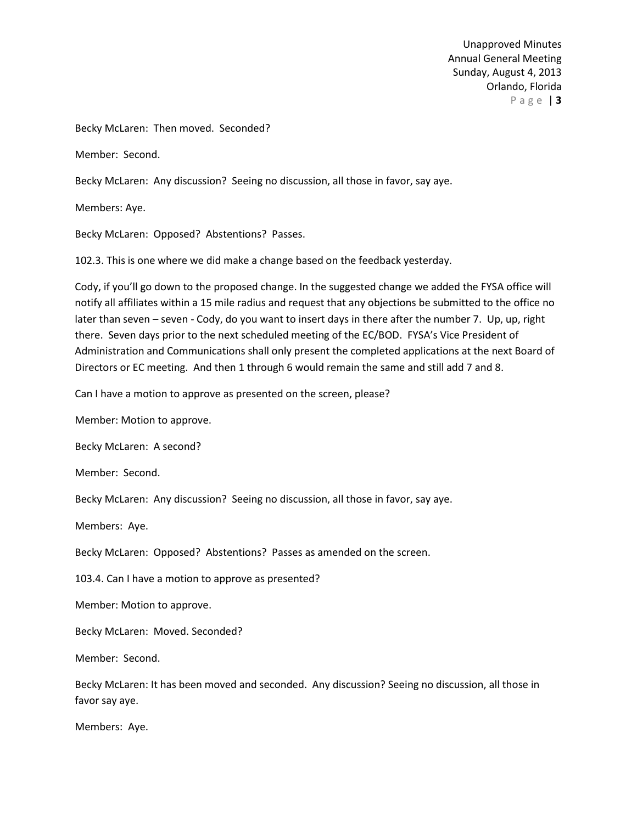Becky McLaren: Then moved. Seconded?

Member: Second.

Becky McLaren: Any discussion? Seeing no discussion, all those in favor, say aye.

Members: Aye.

Becky McLaren: Opposed? Abstentions? Passes.

102.3. This is one where we did make a change based on the feedback yesterday.

Cody, if you'll go down to the proposed change. In the suggested change we added the FYSA office will notify all affiliates within a 15 mile radius and request that any objections be submitted to the office no later than seven – seven - Cody, do you want to insert days in there after the number 7. Up, up, right there. Seven days prior to the next scheduled meeting of the EC/BOD. FYSA's Vice President of Administration and Communications shall only present the completed applications at the next Board of Directors or EC meeting. And then 1 through 6 would remain the same and still add 7 and 8.

Can I have a motion to approve as presented on the screen, please?

Member: Motion to approve.

Becky McLaren: A second?

Member: Second.

Becky McLaren: Any discussion? Seeing no discussion, all those in favor, say aye.

Members: Aye.

Becky McLaren: Opposed? Abstentions? Passes as amended on the screen.

103.4. Can I have a motion to approve as presented?

Member: Motion to approve.

Becky McLaren: Moved. Seconded?

Member: Second.

Becky McLaren: It has been moved and seconded. Any discussion? Seeing no discussion, all those in favor say aye.

Members: Aye.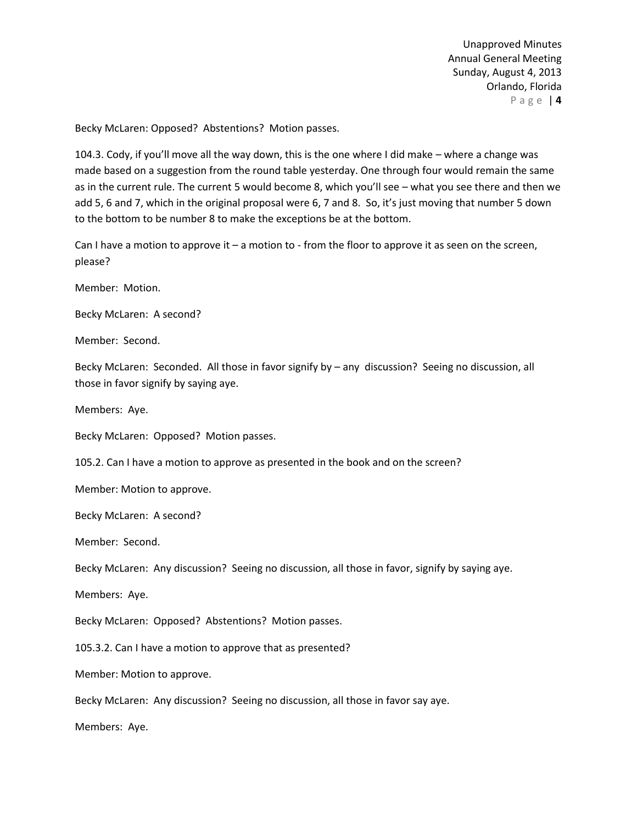Becky McLaren: Opposed? Abstentions? Motion passes.

104.3. Cody, if you'll move all the way down, this is the one where I did make – where a change was made based on a suggestion from the round table yesterday. One through four would remain the same as in the current rule. The current 5 would become 8, which you'll see – what you see there and then we add 5, 6 and 7, which in the original proposal were 6, 7 and 8. So, it's just moving that number 5 down to the bottom to be number 8 to make the exceptions be at the bottom.

Can I have a motion to approve it – a motion to - from the floor to approve it as seen on the screen, please?

Member: Motion.

Becky McLaren: A second?

Member: Second.

Becky McLaren: Seconded. All those in favor signify by – any discussion? Seeing no discussion, all those in favor signify by saying aye.

Members: Aye.

Becky McLaren: Opposed? Motion passes.

105.2. Can I have a motion to approve as presented in the book and on the screen?

Member: Motion to approve.

Becky McLaren: A second?

Member: Second.

Becky McLaren: Any discussion? Seeing no discussion, all those in favor, signify by saying aye.

Members: Aye.

Becky McLaren: Opposed? Abstentions? Motion passes.

105.3.2. Can I have a motion to approve that as presented?

Member: Motion to approve.

Becky McLaren: Any discussion? Seeing no discussion, all those in favor say aye.

Members: Aye.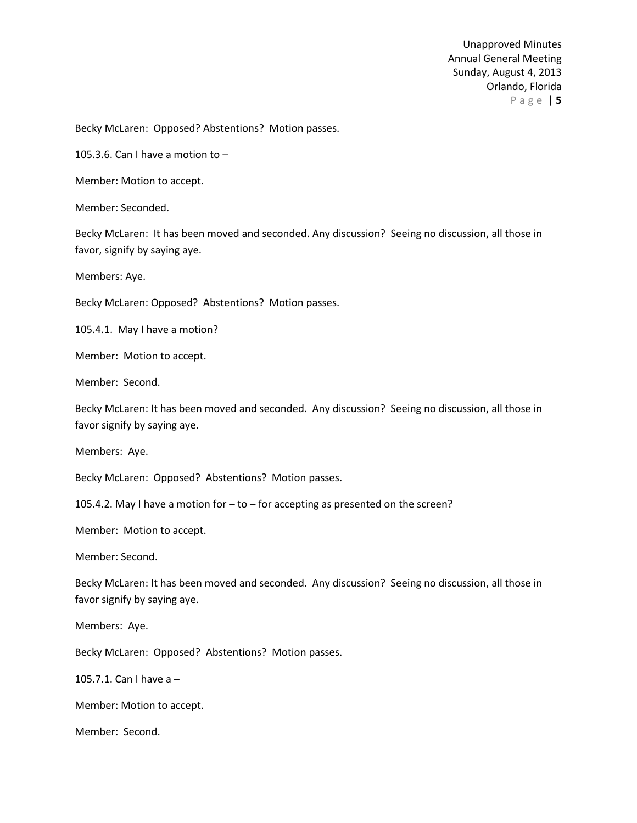Becky McLaren: Opposed? Abstentions? Motion passes.

105.3.6. Can I have a motion to –

Member: Motion to accept.

Member: Seconded.

Becky McLaren: It has been moved and seconded. Any discussion? Seeing no discussion, all those in favor, signify by saying aye.

Members: Aye.

Becky McLaren: Opposed? Abstentions? Motion passes.

105.4.1. May I have a motion?

Member: Motion to accept.

Member: Second.

Becky McLaren: It has been moved and seconded. Any discussion? Seeing no discussion, all those in favor signify by saying aye.

Members: Aye.

Becky McLaren: Opposed? Abstentions? Motion passes.

105.4.2. May I have a motion for – to – for accepting as presented on the screen?

Member: Motion to accept.

Member: Second.

Becky McLaren: It has been moved and seconded. Any discussion? Seeing no discussion, all those in favor signify by saying aye.

Members: Aye.

Becky McLaren: Opposed? Abstentions? Motion passes.

105.7.1. Can I have a –

Member: Motion to accept.

Member: Second.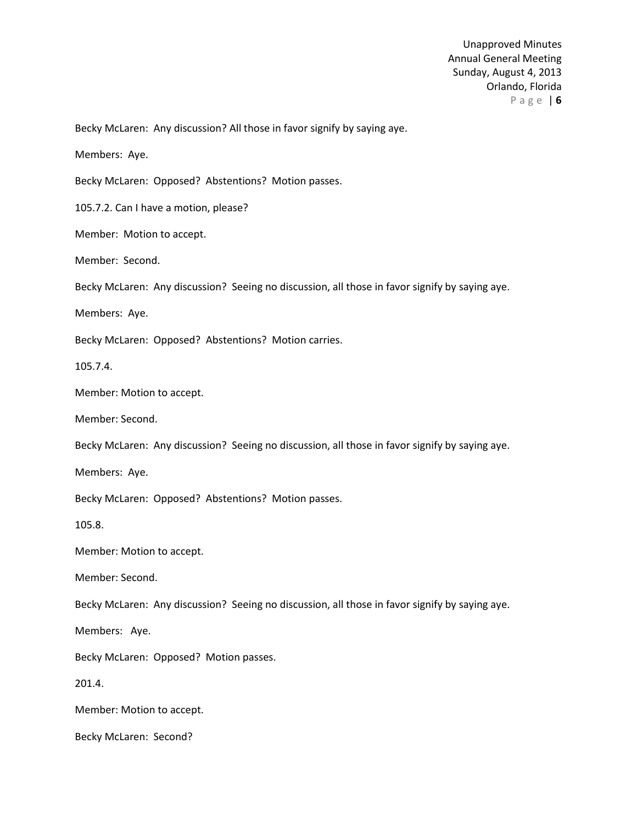Becky McLaren: Any discussion? All those in favor signify by saying aye.

Members: Aye.

Becky McLaren: Opposed? Abstentions? Motion passes.

105.7.2. Can I have a motion, please?

Member: Motion to accept.

Member: Second.

Becky McLaren: Any discussion? Seeing no discussion, all those in favor signify by saying aye.

Members: Aye.

Becky McLaren: Opposed? Abstentions? Motion carries.

105.7.4.

Member: Motion to accept.

Member: Second.

Becky McLaren: Any discussion? Seeing no discussion, all those in favor signify by saying aye.

Members: Aye.

Becky McLaren: Opposed? Abstentions? Motion passes.

105.8.

Member: Motion to accept.

Member: Second.

Becky McLaren: Any discussion? Seeing no discussion, all those in favor signify by saying aye.

Members: Aye.

Becky McLaren: Opposed? Motion passes.

201.4.

Member: Motion to accept.

Becky McLaren: Second?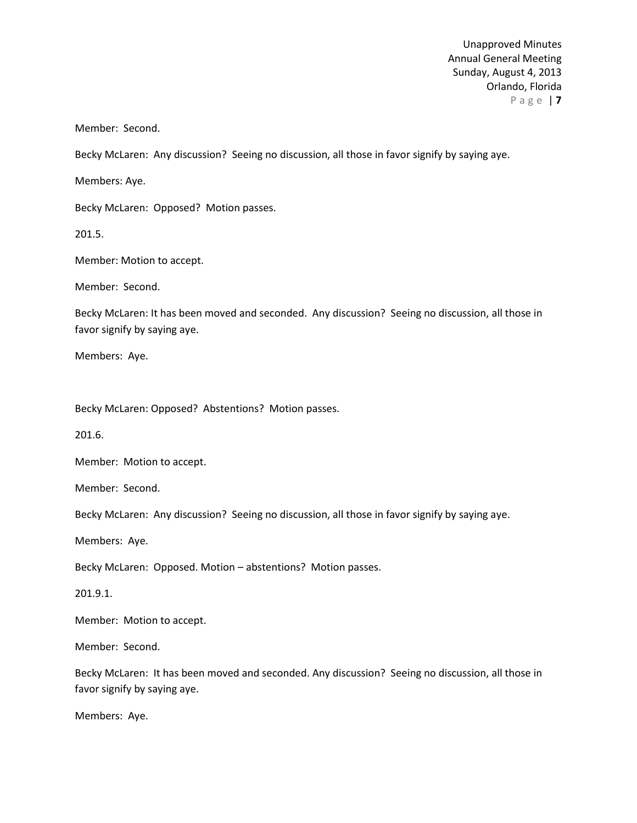Member: Second.

Becky McLaren: Any discussion? Seeing no discussion, all those in favor signify by saying aye.

Members: Aye.

Becky McLaren: Opposed? Motion passes.

201.5.

Member: Motion to accept.

Member: Second.

Becky McLaren: It has been moved and seconded. Any discussion? Seeing no discussion, all those in favor signify by saying aye.

Members: Aye.

Becky McLaren: Opposed? Abstentions? Motion passes.

201.6.

Member: Motion to accept.

Member: Second.

Becky McLaren: Any discussion? Seeing no discussion, all those in favor signify by saying aye.

Members: Aye.

Becky McLaren: Opposed. Motion – abstentions? Motion passes.

201.9.1.

Member: Motion to accept.

Member: Second.

Becky McLaren: It has been moved and seconded. Any discussion? Seeing no discussion, all those in favor signify by saying aye.

Members: Aye.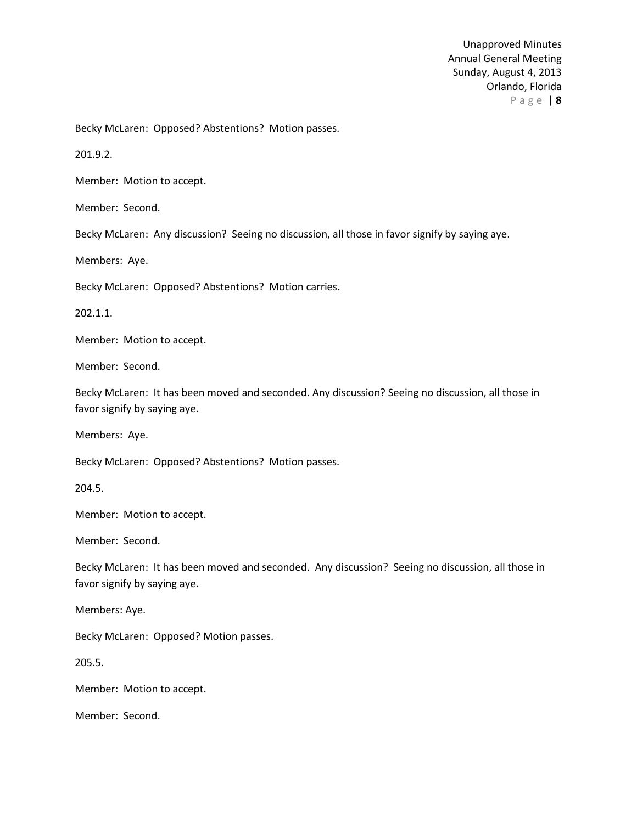Becky McLaren: Opposed? Abstentions? Motion passes.

201.9.2.

Member: Motion to accept.

Member: Second.

Becky McLaren: Any discussion? Seeing no discussion, all those in favor signify by saying aye.

Members: Aye.

Becky McLaren: Opposed? Abstentions? Motion carries.

202.1.1.

Member: Motion to accept.

Member: Second.

Becky McLaren: It has been moved and seconded. Any discussion? Seeing no discussion, all those in favor signify by saying aye.

Members: Aye.

Becky McLaren: Opposed? Abstentions? Motion passes.

204.5.

Member: Motion to accept.

Member: Second.

Becky McLaren: It has been moved and seconded. Any discussion? Seeing no discussion, all those in favor signify by saying aye.

Members: Aye.

Becky McLaren: Opposed? Motion passes.

205.5.

Member: Motion to accept.

Member: Second.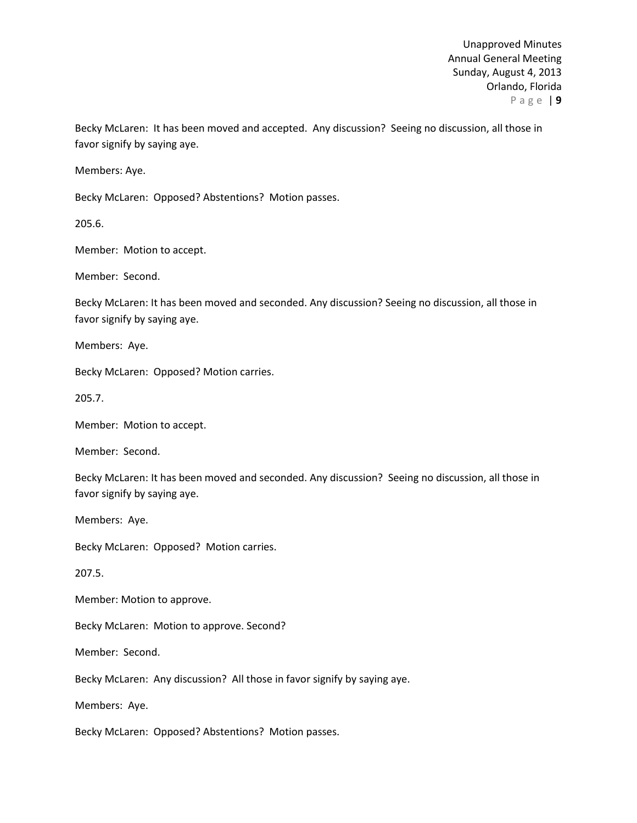Becky McLaren: It has been moved and accepted. Any discussion? Seeing no discussion, all those in favor signify by saying aye.

Members: Aye.

Becky McLaren: Opposed? Abstentions? Motion passes.

205.6.

Member: Motion to accept.

Member: Second.

Becky McLaren: It has been moved and seconded. Any discussion? Seeing no discussion, all those in favor signify by saying aye.

Members: Aye.

Becky McLaren: Opposed? Motion carries.

205.7.

Member: Motion to accept.

Member: Second.

Becky McLaren: It has been moved and seconded. Any discussion? Seeing no discussion, all those in favor signify by saying aye.

Members: Aye.

Becky McLaren: Opposed? Motion carries.

207.5.

Member: Motion to approve.

Becky McLaren: Motion to approve. Second?

Member: Second.

Becky McLaren: Any discussion? All those in favor signify by saying aye.

Members: Aye.

Becky McLaren: Opposed? Abstentions? Motion passes.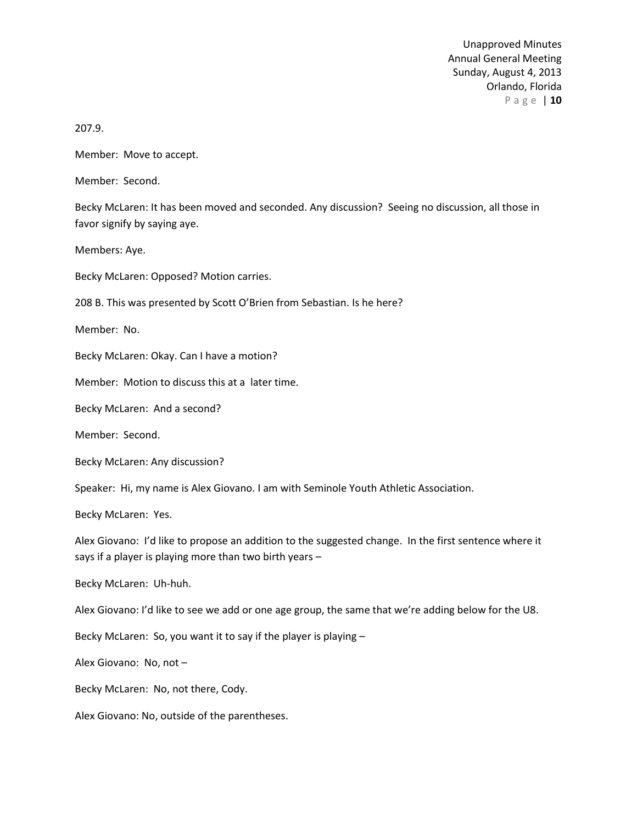207.9.

Member: Move to accept.

Member: Second.

Becky McLaren: It has been moved and seconded. Any discussion? Seeing no discussion, all those in favor signify by saying aye.

Members: Aye.

Becky McLaren: Opposed? Motion carries.

208 B. This was presented by Scott O'Brien from Sebastian. Is he here?

Member: No.

Becky McLaren: Okay. Can I have a motion?

Member: Motion to discuss this at a later time.

Becky McLaren: And a second?

Member: Second.

Becky McLaren: Any discussion?

Speaker: Hi, my name is Alex Giovano. I am with Seminole Youth Athletic Association.

Becky McLaren: Yes.

Alex Giovano: I'd like to propose an addition to the suggested change. In the first sentence where it says if a player is playing more than two birth years –

Becky McLaren: Uh-huh.

Alex Giovano: I'd like to see we add or one age group, the same that we're adding below for the U8.

Becky McLaren: So, you want it to say if the player is playing –

Alex Giovano: No, not –

Becky McLaren: No, not there, Cody.

Alex Giovano: No, outside of the parentheses.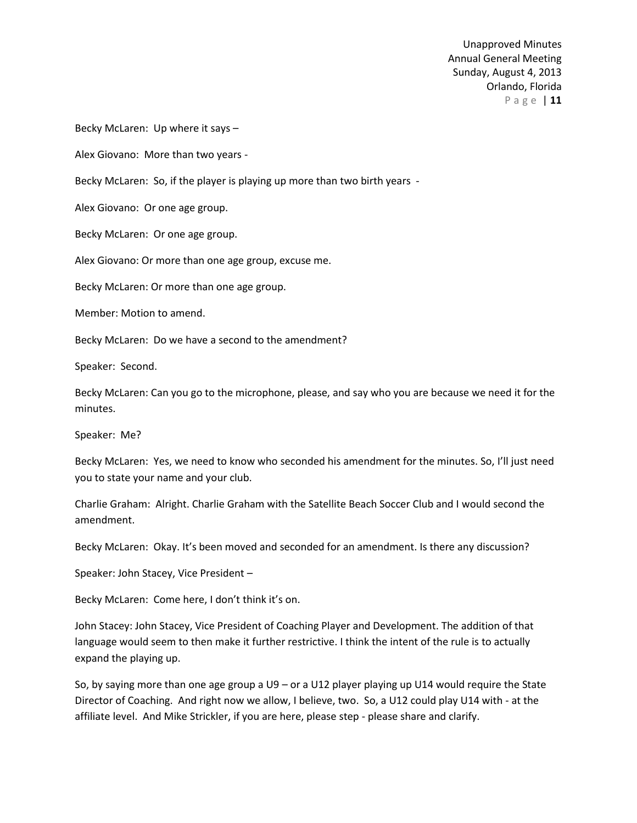Becky McLaren: Up where it says –

Alex Giovano: More than two years -

Becky McLaren: So, if the player is playing up more than two birth years -

Alex Giovano: Or one age group.

Becky McLaren: Or one age group.

Alex Giovano: Or more than one age group, excuse me.

Becky McLaren: Or more than one age group.

Member: Motion to amend.

Becky McLaren: Do we have a second to the amendment?

Speaker: Second.

Becky McLaren: Can you go to the microphone, please, and say who you are because we need it for the minutes.

Speaker: Me?

Becky McLaren: Yes, we need to know who seconded his amendment for the minutes. So, I'll just need you to state your name and your club.

Charlie Graham: Alright. Charlie Graham with the Satellite Beach Soccer Club and I would second the amendment.

Becky McLaren: Okay. It's been moved and seconded for an amendment. Is there any discussion?

Speaker: John Stacey, Vice President –

Becky McLaren: Come here, I don't think it's on.

John Stacey: John Stacey, Vice President of Coaching Player and Development. The addition of that language would seem to then make it further restrictive. I think the intent of the rule is to actually expand the playing up.

So, by saying more than one age group a U9 – or a U12 player playing up U14 would require the State Director of Coaching. And right now we allow, I believe, two. So, a U12 could play U14 with - at the affiliate level. And Mike Strickler, if you are here, please step - please share and clarify.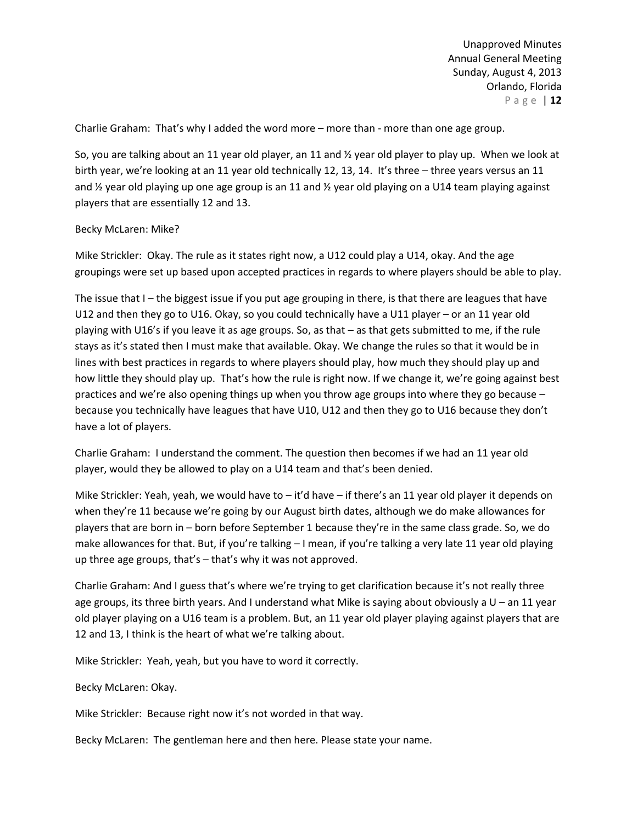Charlie Graham: That's why I added the word more – more than - more than one age group.

So, you are talking about an 11 year old player, an 11 and ½ year old player to play up. When we look at birth year, we're looking at an 11 year old technically 12, 13, 14. It's three - three years versus an 11 and 1/2 year old playing up one age group is an 11 and 1/2 year old playing on a U14 team playing against players that are essentially 12 and 13.

### Becky McLaren: Mike?

Mike Strickler: Okay. The rule as it states right now, a U12 could play a U14, okay. And the age groupings were set up based upon accepted practices in regards to where players should be able to play.

The issue that I – the biggest issue if you put age grouping in there, is that there are leagues that have U12 and then they go to U16. Okay, so you could technically have a U11 player – or an 11 year old playing with U16's if you leave it as age groups. So, as that – as that gets submitted to me, if the rule stays as it's stated then I must make that available. Okay. We change the rules so that it would be in lines with best practices in regards to where players should play, how much they should play up and how little they should play up. That's how the rule is right now. If we change it, we're going against best practices and we're also opening things up when you throw age groups into where they go because – because you technically have leagues that have U10, U12 and then they go to U16 because they don't have a lot of players.

Charlie Graham: I understand the comment. The question then becomes if we had an 11 year old player, would they be allowed to play on a U14 team and that's been denied.

Mike Strickler: Yeah, yeah, we would have to – it'd have – if there's an 11 year old player it depends on when they're 11 because we're going by our August birth dates, although we do make allowances for players that are born in – born before September 1 because they're in the same class grade. So, we do make allowances for that. But, if you're talking – I mean, if you're talking a very late 11 year old playing up three age groups, that's – that's why it was not approved.

Charlie Graham: And I guess that's where we're trying to get clarification because it's not really three age groups, its three birth years. And I understand what Mike is saying about obviously a U – an 11 year old player playing on a U16 team is a problem. But, an 11 year old player playing against players that are 12 and 13, I think is the heart of what we're talking about.

Mike Strickler: Yeah, yeah, but you have to word it correctly.

#### Becky McLaren: Okay.

Mike Strickler: Because right now it's not worded in that way.

Becky McLaren: The gentleman here and then here. Please state your name.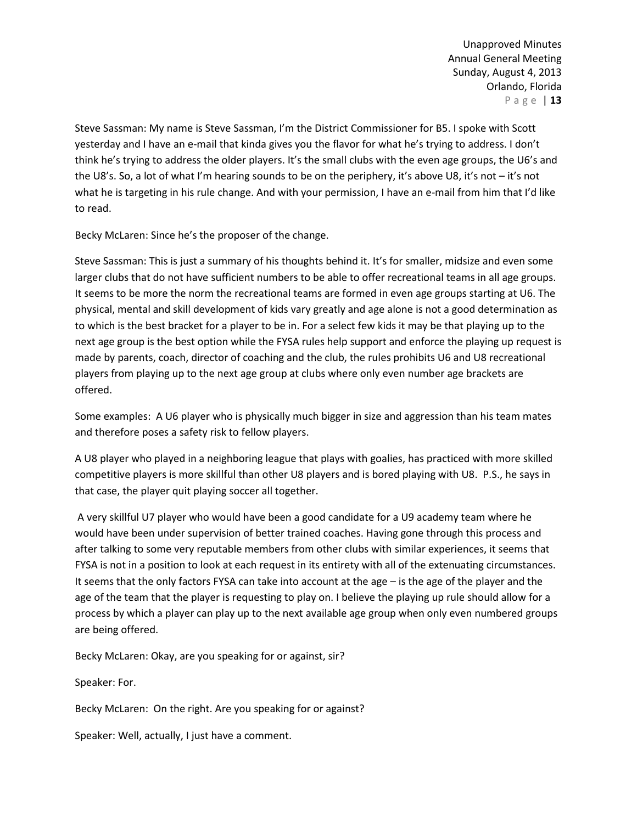Steve Sassman: My name is Steve Sassman, I'm the District Commissioner for B5. I spoke with Scott yesterday and I have an e-mail that kinda gives you the flavor for what he's trying to address. I don't think he's trying to address the older players. It's the small clubs with the even age groups, the U6's and the U8's. So, a lot of what I'm hearing sounds to be on the periphery, it's above U8, it's not – it's not what he is targeting in his rule change. And with your permission, I have an e-mail from him that I'd like to read.

Becky McLaren: Since he's the proposer of the change.

Steve Sassman: This is just a summary of his thoughts behind it. It's for smaller, midsize and even some larger clubs that do not have sufficient numbers to be able to offer recreational teams in all age groups. It seems to be more the norm the recreational teams are formed in even age groups starting at U6. The physical, mental and skill development of kids vary greatly and age alone is not a good determination as to which is the best bracket for a player to be in. For a select few kids it may be that playing up to the next age group is the best option while the FYSA rules help support and enforce the playing up request is made by parents, coach, director of coaching and the club, the rules prohibits U6 and U8 recreational players from playing up to the next age group at clubs where only even number age brackets are offered.

Some examples: A U6 player who is physically much bigger in size and aggression than his team mates and therefore poses a safety risk to fellow players.

A U8 player who played in a neighboring league that plays with goalies, has practiced with more skilled competitive players is more skillful than other U8 players and is bored playing with U8. P.S., he says in that case, the player quit playing soccer all together.

A very skillful U7 player who would have been a good candidate for a U9 academy team where he would have been under supervision of better trained coaches. Having gone through this process and after talking to some very reputable members from other clubs with similar experiences, it seems that FYSA is not in a position to look at each request in its entirety with all of the extenuating circumstances. It seems that the only factors FYSA can take into account at the age – is the age of the player and the age of the team that the player is requesting to play on. I believe the playing up rule should allow for a process by which a player can play up to the next available age group when only even numbered groups are being offered.

Becky McLaren: Okay, are you speaking for or against, sir?

Speaker: For.

Becky McLaren: On the right. Are you speaking for or against?

Speaker: Well, actually, I just have a comment.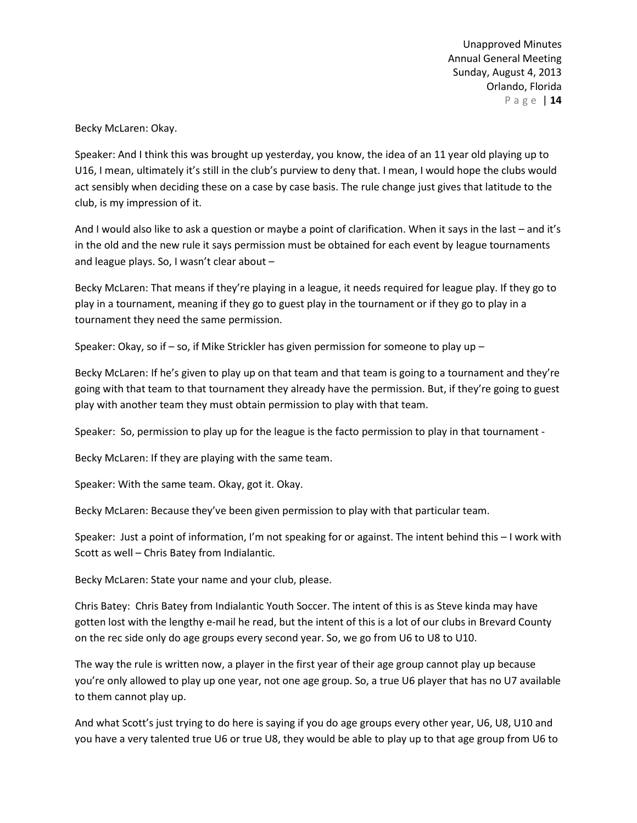Becky McLaren: Okay.

Speaker: And I think this was brought up yesterday, you know, the idea of an 11 year old playing up to U16, I mean, ultimately it's still in the club's purview to deny that. I mean, I would hope the clubs would act sensibly when deciding these on a case by case basis. The rule change just gives that latitude to the club, is my impression of it.

And I would also like to ask a question or maybe a point of clarification. When it says in the last – and it's in the old and the new rule it says permission must be obtained for each event by league tournaments and league plays. So, I wasn't clear about –

Becky McLaren: That means if they're playing in a league, it needs required for league play. If they go to play in a tournament, meaning if they go to guest play in the tournament or if they go to play in a tournament they need the same permission.

Speaker: Okay, so if – so, if Mike Strickler has given permission for someone to play up –

Becky McLaren: If he's given to play up on that team and that team is going to a tournament and they're going with that team to that tournament they already have the permission. But, if they're going to guest play with another team they must obtain permission to play with that team.

Speaker: So, permission to play up for the league is the facto permission to play in that tournament -

Becky McLaren: If they are playing with the same team.

Speaker: With the same team. Okay, got it. Okay.

Becky McLaren: Because they've been given permission to play with that particular team.

Speaker: Just a point of information, I'm not speaking for or against. The intent behind this – I work with Scott as well – Chris Batey from Indialantic.

Becky McLaren: State your name and your club, please.

Chris Batey: Chris Batey from Indialantic Youth Soccer. The intent of this is as Steve kinda may have gotten lost with the lengthy e-mail he read, but the intent of this is a lot of our clubs in Brevard County on the rec side only do age groups every second year. So, we go from U6 to U8 to U10.

The way the rule is written now, a player in the first year of their age group cannot play up because you're only allowed to play up one year, not one age group. So, a true U6 player that has no U7 available to them cannot play up.

And what Scott's just trying to do here is saying if you do age groups every other year, U6, U8, U10 and you have a very talented true U6 or true U8, they would be able to play up to that age group from U6 to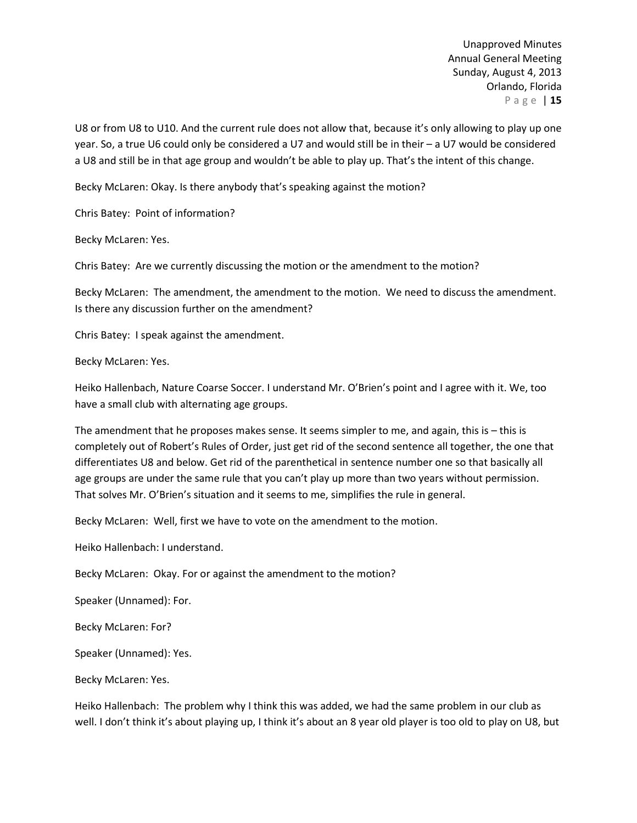U8 or from U8 to U10. And the current rule does not allow that, because it's only allowing to play up one year. So, a true U6 could only be considered a U7 and would still be in their – a U7 would be considered a U8 and still be in that age group and wouldn't be able to play up. That's the intent of this change.

Becky McLaren: Okay. Is there anybody that's speaking against the motion?

Chris Batey: Point of information?

Becky McLaren: Yes.

Chris Batey: Are we currently discussing the motion or the amendment to the motion?

Becky McLaren: The amendment, the amendment to the motion. We need to discuss the amendment. Is there any discussion further on the amendment?

Chris Batey: I speak against the amendment.

Becky McLaren: Yes.

Heiko Hallenbach, Nature Coarse Soccer. I understand Mr. O'Brien's point and I agree with it. We, too have a small club with alternating age groups.

The amendment that he proposes makes sense. It seems simpler to me, and again, this is – this is completely out of Robert's Rules of Order, just get rid of the second sentence all together, the one that differentiates U8 and below. Get rid of the parenthetical in sentence number one so that basically all age groups are under the same rule that you can't play up more than two years without permission. That solves Mr. O'Brien's situation and it seems to me, simplifies the rule in general.

Becky McLaren: Well, first we have to vote on the amendment to the motion.

Heiko Hallenbach: I understand.

Becky McLaren: Okay. For or against the amendment to the motion?

Speaker (Unnamed): For.

Becky McLaren: For?

Speaker (Unnamed): Yes.

Becky McLaren: Yes.

Heiko Hallenbach: The problem why I think this was added, we had the same problem in our club as well. I don't think it's about playing up, I think it's about an 8 year old player is too old to play on U8, but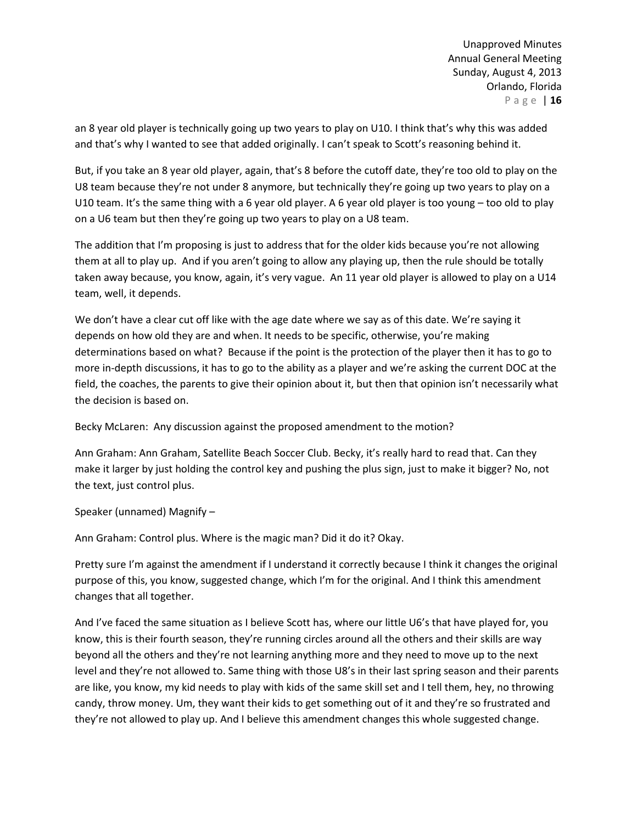an 8 year old player is technically going up two years to play on U10. I think that's why this was added and that's why I wanted to see that added originally. I can't speak to Scott's reasoning behind it.

But, if you take an 8 year old player, again, that's 8 before the cutoff date, they're too old to play on the U8 team because they're not under 8 anymore, but technically they're going up two years to play on a U10 team. It's the same thing with a 6 year old player. A 6 year old player is too young – too old to play on a U6 team but then they're going up two years to play on a U8 team.

The addition that I'm proposing is just to address that for the older kids because you're not allowing them at all to play up. And if you aren't going to allow any playing up, then the rule should be totally taken away because, you know, again, it's very vague. An 11 year old player is allowed to play on a U14 team, well, it depends.

We don't have a clear cut off like with the age date where we say as of this date. We're saying it depends on how old they are and when. It needs to be specific, otherwise, you're making determinations based on what? Because if the point is the protection of the player then it has to go to more in-depth discussions, it has to go to the ability as a player and we're asking the current DOC at the field, the coaches, the parents to give their opinion about it, but then that opinion isn't necessarily what the decision is based on.

Becky McLaren: Any discussion against the proposed amendment to the motion?

Ann Graham: Ann Graham, Satellite Beach Soccer Club. Becky, it's really hard to read that. Can they make it larger by just holding the control key and pushing the plus sign, just to make it bigger? No, not the text, just control plus.

Speaker (unnamed) Magnify –

Ann Graham: Control plus. Where is the magic man? Did it do it? Okay.

Pretty sure I'm against the amendment if I understand it correctly because I think it changes the original purpose of this, you know, suggested change, which I'm for the original. And I think this amendment changes that all together.

And I've faced the same situation as I believe Scott has, where our little U6's that have played for, you know, this is their fourth season, they're running circles around all the others and their skills are way beyond all the others and they're not learning anything more and they need to move up to the next level and they're not allowed to. Same thing with those U8's in their last spring season and their parents are like, you know, my kid needs to play with kids of the same skill set and I tell them, hey, no throwing candy, throw money. Um, they want their kids to get something out of it and they're so frustrated and they're not allowed to play up. And I believe this amendment changes this whole suggested change.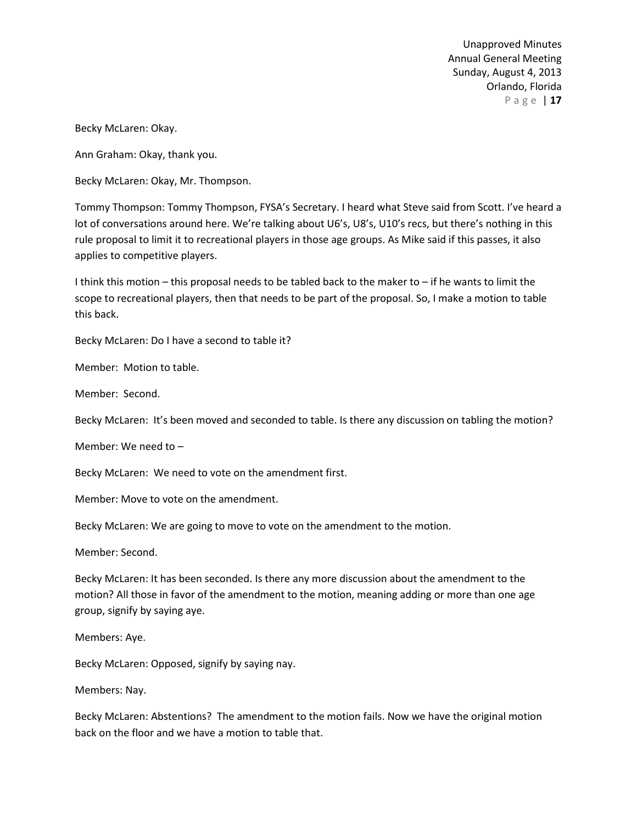Becky McLaren: Okay.

Ann Graham: Okay, thank you.

Becky McLaren: Okay, Mr. Thompson.

Tommy Thompson: Tommy Thompson, FYSA's Secretary. I heard what Steve said from Scott. I've heard a lot of conversations around here. We're talking about U6's, U8's, U10's recs, but there's nothing in this rule proposal to limit it to recreational players in those age groups. As Mike said if this passes, it also applies to competitive players.

I think this motion – this proposal needs to be tabled back to the maker to – if he wants to limit the scope to recreational players, then that needs to be part of the proposal. So, I make a motion to table this back.

Becky McLaren: Do I have a second to table it?

Member: Motion to table.

Member: Second.

Becky McLaren: It's been moved and seconded to table. Is there any discussion on tabling the motion?

Member: We need to –

Becky McLaren: We need to vote on the amendment first.

Member: Move to vote on the amendment.

Becky McLaren: We are going to move to vote on the amendment to the motion.

Member: Second.

Becky McLaren: It has been seconded. Is there any more discussion about the amendment to the motion? All those in favor of the amendment to the motion, meaning adding or more than one age group, signify by saying aye.

Members: Aye.

Becky McLaren: Opposed, signify by saying nay.

Members: Nay.

Becky McLaren: Abstentions? The amendment to the motion fails. Now we have the original motion back on the floor and we have a motion to table that.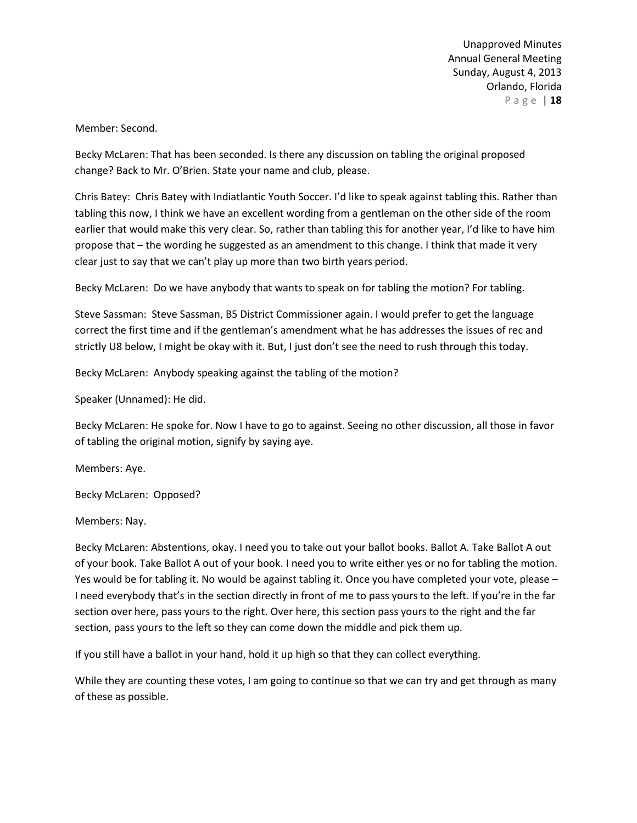Member: Second.

Becky McLaren: That has been seconded. Is there any discussion on tabling the original proposed change? Back to Mr. O'Brien. State your name and club, please.

Chris Batey: Chris Batey with Indiatlantic Youth Soccer. I'd like to speak against tabling this. Rather than tabling this now, I think we have an excellent wording from a gentleman on the other side of the room earlier that would make this very clear. So, rather than tabling this for another year, I'd like to have him propose that – the wording he suggested as an amendment to this change. I think that made it very clear just to say that we can't play up more than two birth years period.

Becky McLaren: Do we have anybody that wants to speak on for tabling the motion? For tabling.

Steve Sassman: Steve Sassman, B5 District Commissioner again. I would prefer to get the language correct the first time and if the gentleman's amendment what he has addresses the issues of rec and strictly U8 below, I might be okay with it. But, I just don't see the need to rush through this today.

Becky McLaren: Anybody speaking against the tabling of the motion?

Speaker (Unnamed): He did.

Becky McLaren: He spoke for. Now I have to go to against. Seeing no other discussion, all those in favor of tabling the original motion, signify by saying aye.

Members: Aye.

Becky McLaren: Opposed?

Members: Nay.

Becky McLaren: Abstentions, okay. I need you to take out your ballot books. Ballot A. Take Ballot A out of your book. Take Ballot A out of your book. I need you to write either yes or no for tabling the motion. Yes would be for tabling it. No would be against tabling it. Once you have completed your vote, please – I need everybody that's in the section directly in front of me to pass yours to the left. If you're in the far section over here, pass yours to the right. Over here, this section pass yours to the right and the far section, pass yours to the left so they can come down the middle and pick them up.

If you still have a ballot in your hand, hold it up high so that they can collect everything.

While they are counting these votes, I am going to continue so that we can try and get through as many of these as possible.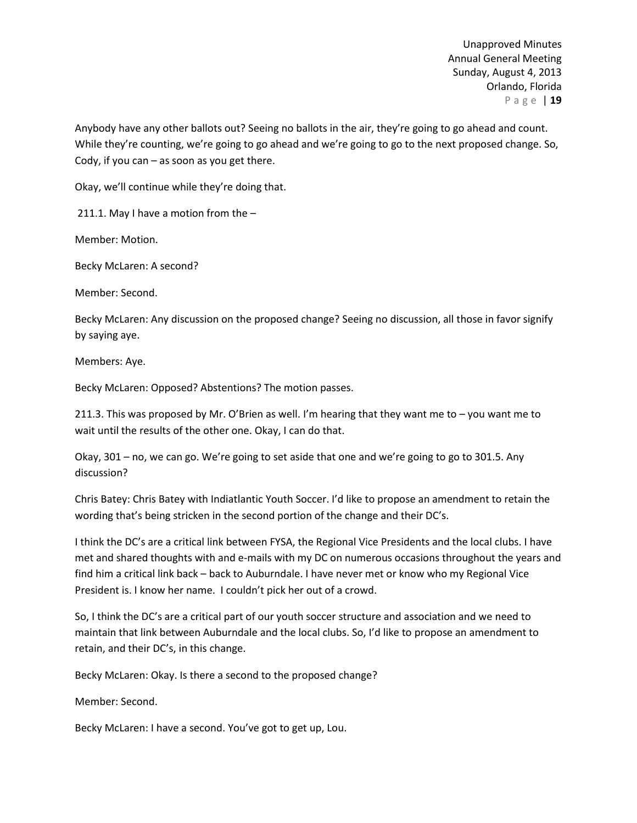Anybody have any other ballots out? Seeing no ballots in the air, they're going to go ahead and count. While they're counting, we're going to go ahead and we're going to go to the next proposed change. So, Cody, if you can  $-$  as soon as you get there.

Okay, we'll continue while they're doing that.

211.1. May I have a motion from the –

Member: Motion.

Becky McLaren: A second?

Member: Second.

Becky McLaren: Any discussion on the proposed change? Seeing no discussion, all those in favor signify by saying aye.

Members: Aye.

Becky McLaren: Opposed? Abstentions? The motion passes.

211.3. This was proposed by Mr. O'Brien as well. I'm hearing that they want me to – you want me to wait until the results of the other one. Okay, I can do that.

Okay, 301 – no, we can go. We're going to set aside that one and we're going to go to 301.5. Any discussion?

Chris Batey: Chris Batey with Indiatlantic Youth Soccer. I'd like to propose an amendment to retain the wording that's being stricken in the second portion of the change and their DC's.

I think the DC's are a critical link between FYSA, the Regional Vice Presidents and the local clubs. I have met and shared thoughts with and e-mails with my DC on numerous occasions throughout the years and find him a critical link back – back to Auburndale. I have never met or know who my Regional Vice President is. I know her name. I couldn't pick her out of a crowd.

So, I think the DC's are a critical part of our youth soccer structure and association and we need to maintain that link between Auburndale and the local clubs. So, I'd like to propose an amendment to retain, and their DC's, in this change.

Becky McLaren: Okay. Is there a second to the proposed change?

Member: Second.

Becky McLaren: I have a second. You've got to get up, Lou.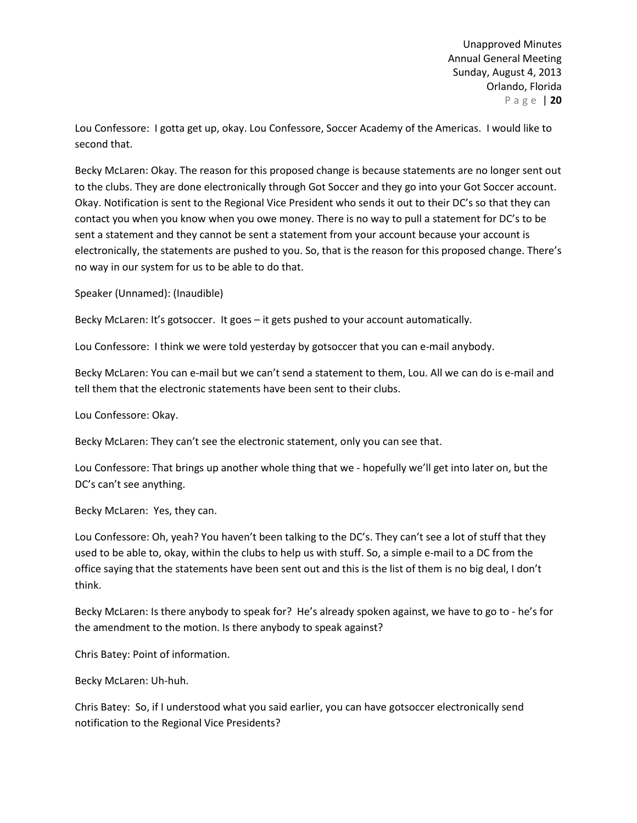Lou Confessore: I gotta get up, okay. Lou Confessore, Soccer Academy of the Americas. I would like to second that.

Becky McLaren: Okay. The reason for this proposed change is because statements are no longer sent out to the clubs. They are done electronically through Got Soccer and they go into your Got Soccer account. Okay. Notification is sent to the Regional Vice President who sends it out to their DC's so that they can contact you when you know when you owe money. There is no way to pull a statement for DC's to be sent a statement and they cannot be sent a statement from your account because your account is electronically, the statements are pushed to you. So, that is the reason for this proposed change. There's no way in our system for us to be able to do that.

Speaker (Unnamed): (Inaudible)

Becky McLaren: It's gotsoccer. It goes – it gets pushed to your account automatically.

Lou Confessore: I think we were told yesterday by gotsoccer that you can e-mail anybody.

Becky McLaren: You can e-mail but we can't send a statement to them, Lou. All we can do is e-mail and tell them that the electronic statements have been sent to their clubs.

Lou Confessore: Okay.

Becky McLaren: They can't see the electronic statement, only you can see that.

Lou Confessore: That brings up another whole thing that we - hopefully we'll get into later on, but the DC's can't see anything.

Becky McLaren: Yes, they can.

Lou Confessore: Oh, yeah? You haven't been talking to the DC's. They can't see a lot of stuff that they used to be able to, okay, within the clubs to help us with stuff. So, a simple e-mail to a DC from the office saying that the statements have been sent out and this is the list of them is no big deal, I don't think.

Becky McLaren: Is there anybody to speak for? He's already spoken against, we have to go to - he's for the amendment to the motion. Is there anybody to speak against?

Chris Batey: Point of information.

Becky McLaren: Uh-huh.

Chris Batey: So, if I understood what you said earlier, you can have gotsoccer electronically send notification to the Regional Vice Presidents?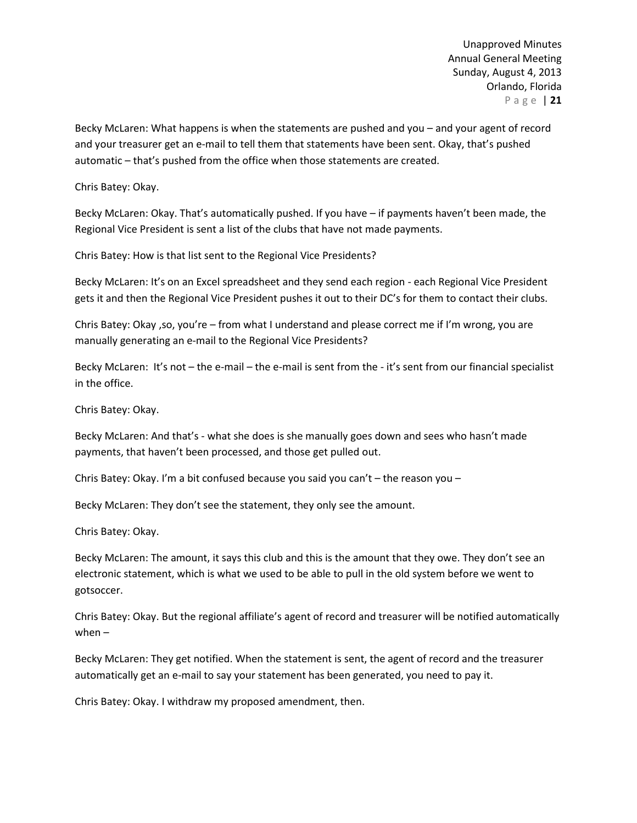Becky McLaren: What happens is when the statements are pushed and you – and your agent of record and your treasurer get an e-mail to tell them that statements have been sent. Okay, that's pushed automatic – that's pushed from the office when those statements are created.

Chris Batey: Okay.

Becky McLaren: Okay. That's automatically pushed. If you have – if payments haven't been made, the Regional Vice President is sent a list of the clubs that have not made payments.

Chris Batey: How is that list sent to the Regional Vice Presidents?

Becky McLaren: It's on an Excel spreadsheet and they send each region - each Regional Vice President gets it and then the Regional Vice President pushes it out to their DC's for them to contact their clubs.

Chris Batey: Okay ,so, you're – from what I understand and please correct me if I'm wrong, you are manually generating an e-mail to the Regional Vice Presidents?

Becky McLaren: It's not – the e-mail – the e-mail is sent from the - it's sent from our financial specialist in the office.

Chris Batey: Okay.

Becky McLaren: And that's - what she does is she manually goes down and sees who hasn't made payments, that haven't been processed, and those get pulled out.

Chris Batey: Okay. I'm a bit confused because you said you can't – the reason you –

Becky McLaren: They don't see the statement, they only see the amount.

Chris Batey: Okay.

Becky McLaren: The amount, it says this club and this is the amount that they owe. They don't see an electronic statement, which is what we used to be able to pull in the old system before we went to gotsoccer.

Chris Batey: Okay. But the regional affiliate's agent of record and treasurer will be notified automatically when –

Becky McLaren: They get notified. When the statement is sent, the agent of record and the treasurer automatically get an e-mail to say your statement has been generated, you need to pay it.

Chris Batey: Okay. I withdraw my proposed amendment, then.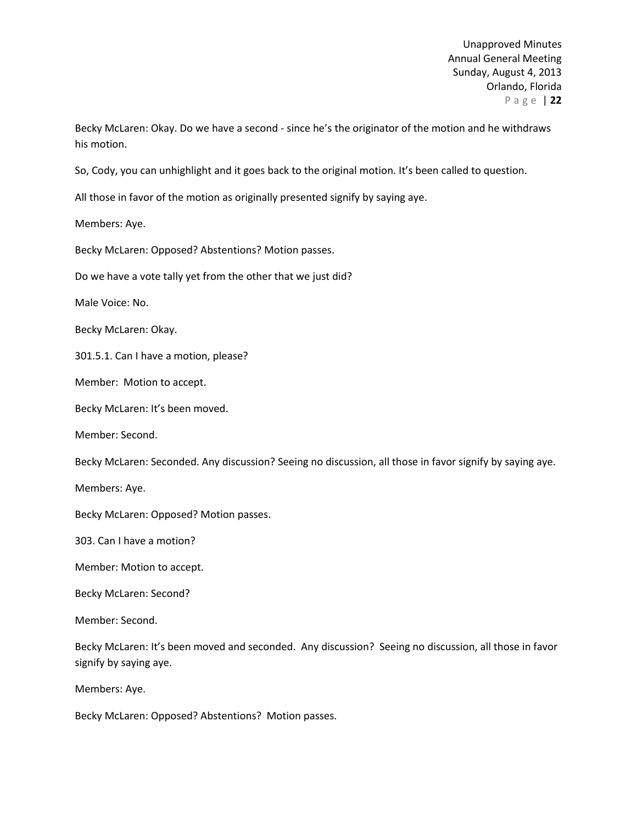Becky McLaren: Okay. Do we have a second - since he's the originator of the motion and he withdraws his motion.

So, Cody, you can unhighlight and it goes back to the original motion. It's been called to question.

All those in favor of the motion as originally presented signify by saying aye.

Members: Aye.

Becky McLaren: Opposed? Abstentions? Motion passes.

Do we have a vote tally yet from the other that we just did?

Male Voice: No.

Becky McLaren: Okay.

301.5.1. Can I have a motion, please?

Member: Motion to accept.

Becky McLaren: It's been moved.

Member: Second.

Becky McLaren: Seconded. Any discussion? Seeing no discussion, all those in favor signify by saying aye.

Members: Aye.

Becky McLaren: Opposed? Motion passes.

303. Can I have a motion?

Member: Motion to accept.

Becky McLaren: Second?

Member: Second.

Becky McLaren: It's been moved and seconded. Any discussion? Seeing no discussion, all those in favor signify by saying aye.

Members: Aye.

Becky McLaren: Opposed? Abstentions? Motion passes.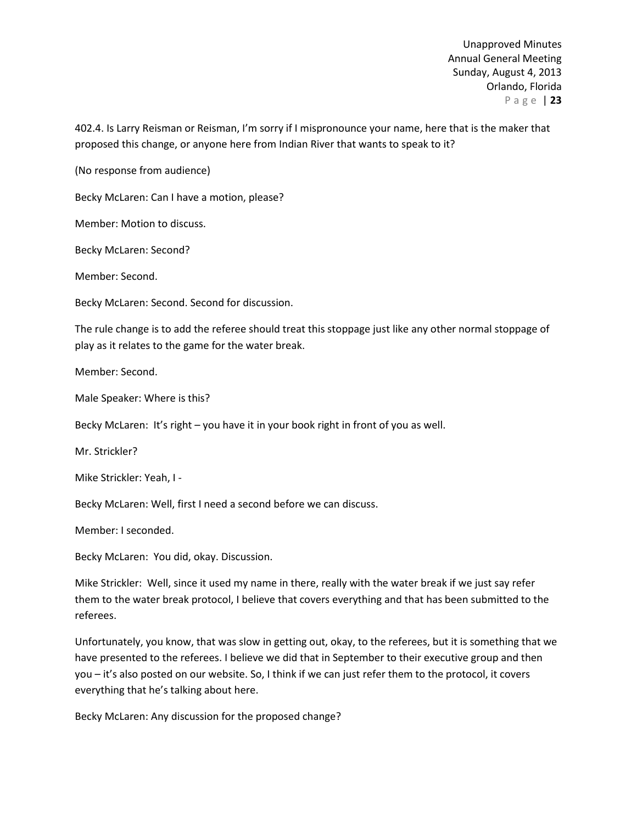402.4. Is Larry Reisman or Reisman, I'm sorry if I mispronounce your name, here that is the maker that proposed this change, or anyone here from Indian River that wants to speak to it?

(No response from audience)

Becky McLaren: Can I have a motion, please?

Member: Motion to discuss.

Becky McLaren: Second?

Member: Second.

Becky McLaren: Second. Second for discussion.

The rule change is to add the referee should treat this stoppage just like any other normal stoppage of play as it relates to the game for the water break.

Member: Second.

Male Speaker: Where is this?

Becky McLaren: It's right – you have it in your book right in front of you as well.

Mr. Strickler?

Mike Strickler: Yeah, I -

Becky McLaren: Well, first I need a second before we can discuss.

Member: I seconded.

Becky McLaren: You did, okay. Discussion.

Mike Strickler: Well, since it used my name in there, really with the water break if we just say refer them to the water break protocol, I believe that covers everything and that has been submitted to the referees.

Unfortunately, you know, that was slow in getting out, okay, to the referees, but it is something that we have presented to the referees. I believe we did that in September to their executive group and then you – it's also posted on our website. So, I think if we can just refer them to the protocol, it covers everything that he's talking about here.

Becky McLaren: Any discussion for the proposed change?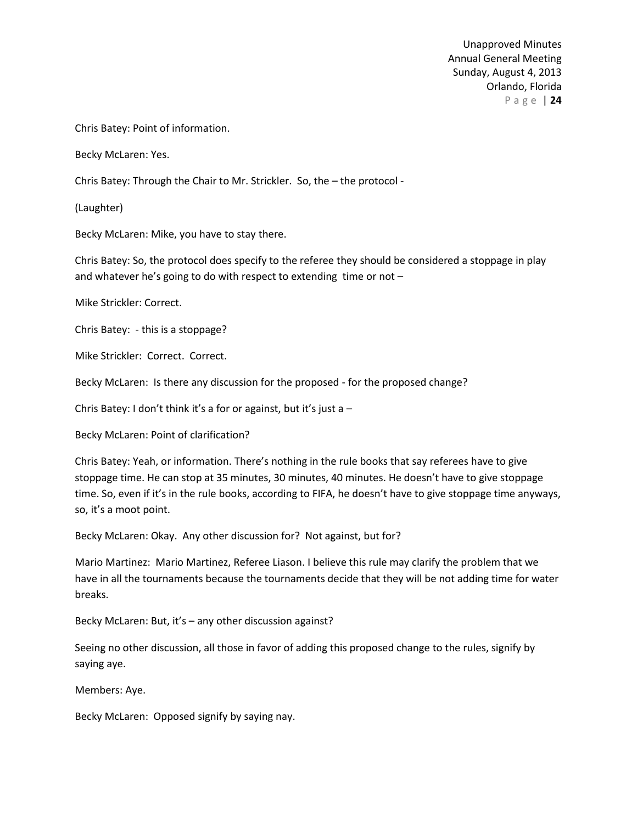Chris Batey: Point of information.

Becky McLaren: Yes.

Chris Batey: Through the Chair to Mr. Strickler. So, the – the protocol -

(Laughter)

Becky McLaren: Mike, you have to stay there.

Chris Batey: So, the protocol does specify to the referee they should be considered a stoppage in play and whatever he's going to do with respect to extending time or not –

Mike Strickler: Correct.

Chris Batey: - this is a stoppage?

Mike Strickler: Correct. Correct.

Becky McLaren: Is there any discussion for the proposed - for the proposed change?

Chris Batey: I don't think it's a for or against, but it's just a  $-$ 

Becky McLaren: Point of clarification?

Chris Batey: Yeah, or information. There's nothing in the rule books that say referees have to give stoppage time. He can stop at 35 minutes, 30 minutes, 40 minutes. He doesn't have to give stoppage time. So, even if it's in the rule books, according to FIFA, he doesn't have to give stoppage time anyways, so, it's a moot point.

Becky McLaren: Okay. Any other discussion for? Not against, but for?

Mario Martinez: Mario Martinez, Referee Liason. I believe this rule may clarify the problem that we have in all the tournaments because the tournaments decide that they will be not adding time for water breaks.

Becky McLaren: But, it's – any other discussion against?

Seeing no other discussion, all those in favor of adding this proposed change to the rules, signify by saying aye.

Members: Aye.

Becky McLaren: Opposed signify by saying nay.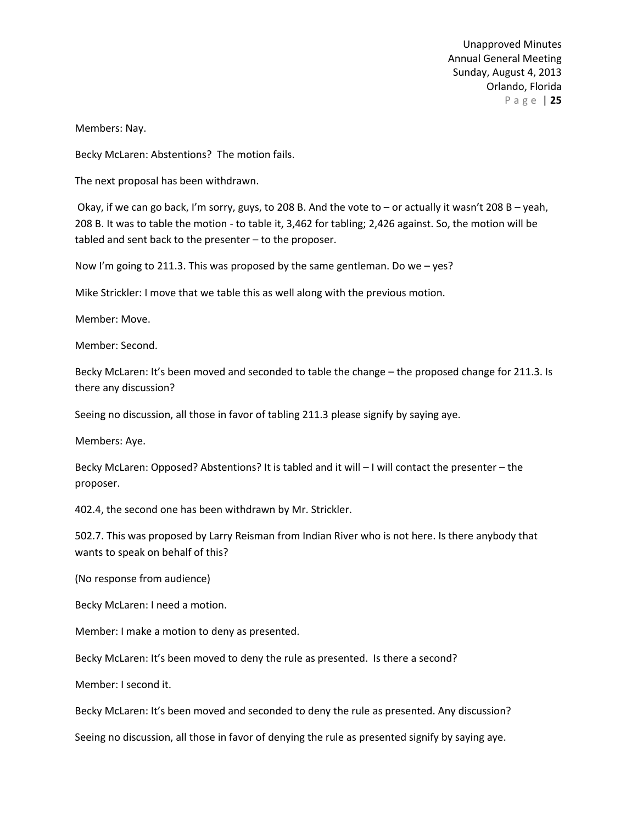Members: Nay.

Becky McLaren: Abstentions? The motion fails.

The next proposal has been withdrawn.

Okay, if we can go back, I'm sorry, guys, to 208 B. And the vote to – or actually it wasn't 208 B – yeah, 208 B. It was to table the motion - to table it, 3,462 for tabling; 2,426 against. So, the motion will be tabled and sent back to the presenter – to the proposer.

Now I'm going to 211.3. This was proposed by the same gentleman. Do we – yes?

Mike Strickler: I move that we table this as well along with the previous motion.

Member: Move.

Member: Second.

Becky McLaren: It's been moved and seconded to table the change – the proposed change for 211.3. Is there any discussion?

Seeing no discussion, all those in favor of tabling 211.3 please signify by saying aye.

Members: Aye.

Becky McLaren: Opposed? Abstentions? It is tabled and it will – I will contact the presenter – the proposer.

402.4, the second one has been withdrawn by Mr. Strickler.

502.7. This was proposed by Larry Reisman from Indian River who is not here. Is there anybody that wants to speak on behalf of this?

(No response from audience)

Becky McLaren: I need a motion.

Member: I make a motion to deny as presented.

Becky McLaren: It's been moved to deny the rule as presented. Is there a second?

Member: I second it.

Becky McLaren: It's been moved and seconded to deny the rule as presented. Any discussion?

Seeing no discussion, all those in favor of denying the rule as presented signify by saying aye.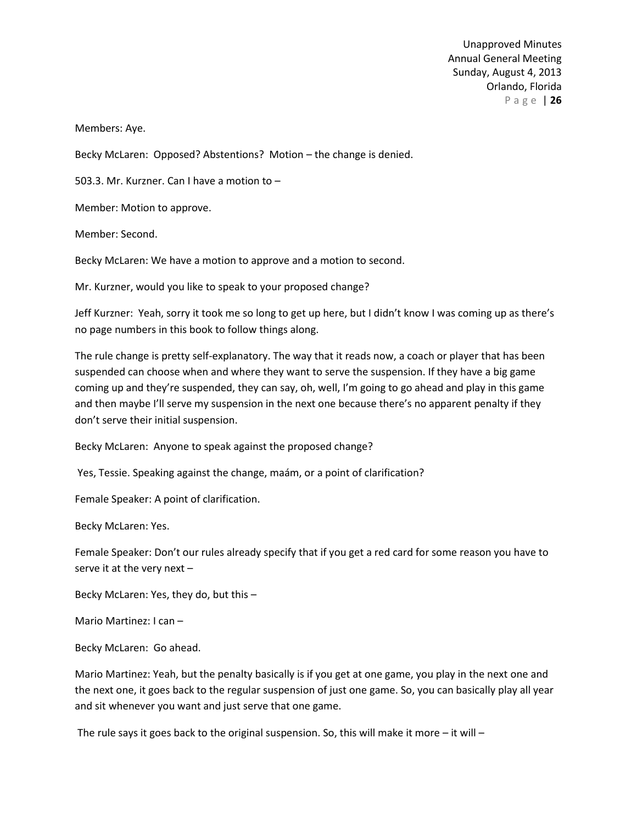Members: Aye.

Becky McLaren: Opposed? Abstentions? Motion – the change is denied.

503.3. Mr. Kurzner. Can I have a motion to –

Member: Motion to approve.

Member: Second.

Becky McLaren: We have a motion to approve and a motion to second.

Mr. Kurzner, would you like to speak to your proposed change?

Jeff Kurzner: Yeah, sorry it took me so long to get up here, but I didn't know I was coming up as there's no page numbers in this book to follow things along.

The rule change is pretty self-explanatory. The way that it reads now, a coach or player that has been suspended can choose when and where they want to serve the suspension. If they have a big game coming up and they're suspended, they can say, oh, well, I'm going to go ahead and play in this game and then maybe I'll serve my suspension in the next one because there's no apparent penalty if they don't serve their initial suspension.

Becky McLaren: Anyone to speak against the proposed change?

Yes, Tessie. Speaking against the change, maám, or a point of clarification?

Female Speaker: A point of clarification.

Becky McLaren: Yes.

Female Speaker: Don't our rules already specify that if you get a red card for some reason you have to serve it at the very next –

Becky McLaren: Yes, they do, but this –

Mario Martinez: I can –

Becky McLaren: Go ahead.

Mario Martinez: Yeah, but the penalty basically is if you get at one game, you play in the next one and the next one, it goes back to the regular suspension of just one game. So, you can basically play all year and sit whenever you want and just serve that one game.

The rule says it goes back to the original suspension. So, this will make it more  $-$  it will  $-$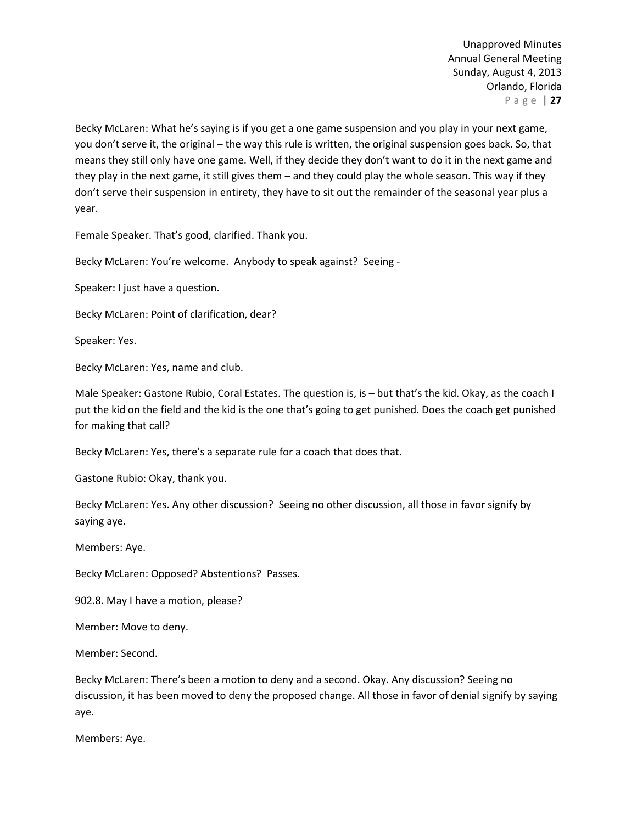Becky McLaren: What he's saying is if you get a one game suspension and you play in your next game, you don't serve it, the original – the way this rule is written, the original suspension goes back. So, that means they still only have one game. Well, if they decide they don't want to do it in the next game and they play in the next game, it still gives them – and they could play the whole season. This way if they don't serve their suspension in entirety, they have to sit out the remainder of the seasonal year plus a year.

Female Speaker. That's good, clarified. Thank you.

Becky McLaren: You're welcome. Anybody to speak against? Seeing -

Speaker: I just have a question.

Becky McLaren: Point of clarification, dear?

Speaker: Yes.

Becky McLaren: Yes, name and club.

Male Speaker: Gastone Rubio, Coral Estates. The question is, is – but that's the kid. Okay, as the coach I put the kid on the field and the kid is the one that's going to get punished. Does the coach get punished for making that call?

Becky McLaren: Yes, there's a separate rule for a coach that does that.

Gastone Rubio: Okay, thank you.

Becky McLaren: Yes. Any other discussion? Seeing no other discussion, all those in favor signify by saying aye.

Members: Aye.

Becky McLaren: Opposed? Abstentions? Passes.

902.8. May I have a motion, please?

Member: Move to deny.

Member: Second.

Becky McLaren: There's been a motion to deny and a second. Okay. Any discussion? Seeing no discussion, it has been moved to deny the proposed change. All those in favor of denial signify by saying aye.

Members: Aye.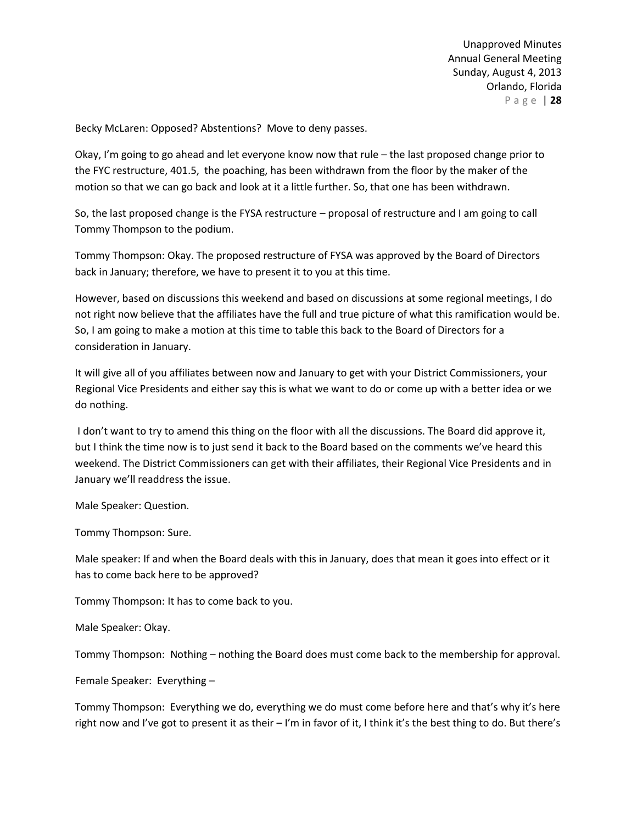Becky McLaren: Opposed? Abstentions? Move to deny passes.

Okay, I'm going to go ahead and let everyone know now that rule – the last proposed change prior to the FYC restructure, 401.5, the poaching, has been withdrawn from the floor by the maker of the motion so that we can go back and look at it a little further. So, that one has been withdrawn.

So, the last proposed change is the FYSA restructure – proposal of restructure and I am going to call Tommy Thompson to the podium.

Tommy Thompson: Okay. The proposed restructure of FYSA was approved by the Board of Directors back in January; therefore, we have to present it to you at this time.

However, based on discussions this weekend and based on discussions at some regional meetings, I do not right now believe that the affiliates have the full and true picture of what this ramification would be. So, I am going to make a motion at this time to table this back to the Board of Directors for a consideration in January.

It will give all of you affiliates between now and January to get with your District Commissioners, your Regional Vice Presidents and either say this is what we want to do or come up with a better idea or we do nothing.

I don't want to try to amend this thing on the floor with all the discussions. The Board did approve it, but I think the time now is to just send it back to the Board based on the comments we've heard this weekend. The District Commissioners can get with their affiliates, their Regional Vice Presidents and in January we'll readdress the issue.

Male Speaker: Question.

Tommy Thompson: Sure.

Male speaker: If and when the Board deals with this in January, does that mean it goes into effect or it has to come back here to be approved?

Tommy Thompson: It has to come back to you.

Male Speaker: Okay.

Tommy Thompson: Nothing – nothing the Board does must come back to the membership for approval.

Female Speaker: Everything –

Tommy Thompson: Everything we do, everything we do must come before here and that's why it's here right now and I've got to present it as their – I'm in favor of it, I think it's the best thing to do. But there's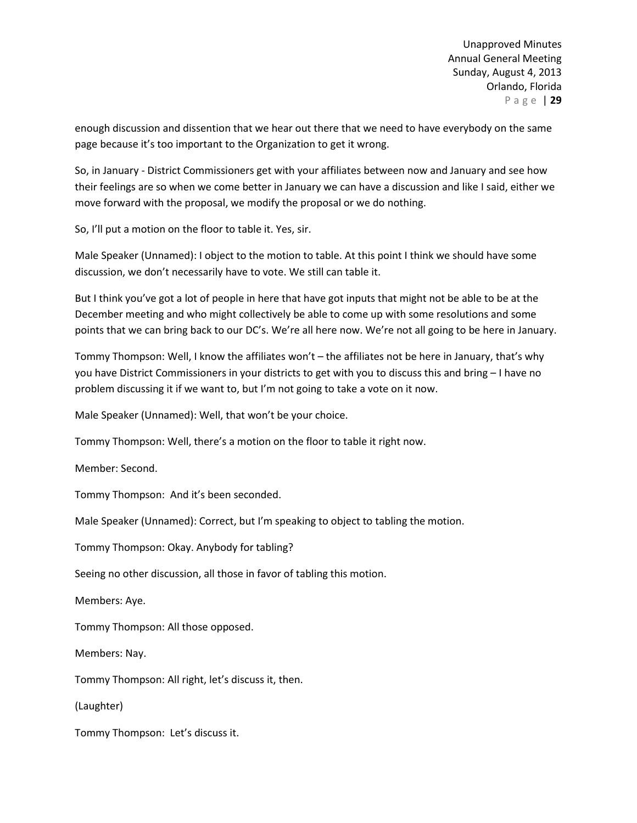enough discussion and dissention that we hear out there that we need to have everybody on the same page because it's too important to the Organization to get it wrong.

So, in January - District Commissioners get with your affiliates between now and January and see how their feelings are so when we come better in January we can have a discussion and like I said, either we move forward with the proposal, we modify the proposal or we do nothing.

So, I'll put a motion on the floor to table it. Yes, sir.

Male Speaker (Unnamed): I object to the motion to table. At this point I think we should have some discussion, we don't necessarily have to vote. We still can table it.

But I think you've got a lot of people in here that have got inputs that might not be able to be at the December meeting and who might collectively be able to come up with some resolutions and some points that we can bring back to our DC's. We're all here now. We're not all going to be here in January.

Tommy Thompson: Well, I know the affiliates won't – the affiliates not be here in January, that's why you have District Commissioners in your districts to get with you to discuss this and bring – I have no problem discussing it if we want to, but I'm not going to take a vote on it now.

Male Speaker (Unnamed): Well, that won't be your choice.

Tommy Thompson: Well, there's a motion on the floor to table it right now.

Member: Second.

Tommy Thompson: And it's been seconded.

Male Speaker (Unnamed): Correct, but I'm speaking to object to tabling the motion.

Tommy Thompson: Okay. Anybody for tabling?

Seeing no other discussion, all those in favor of tabling this motion.

Members: Aye.

Tommy Thompson: All those opposed.

Members: Nay.

Tommy Thompson: All right, let's discuss it, then.

(Laughter)

Tommy Thompson: Let's discuss it.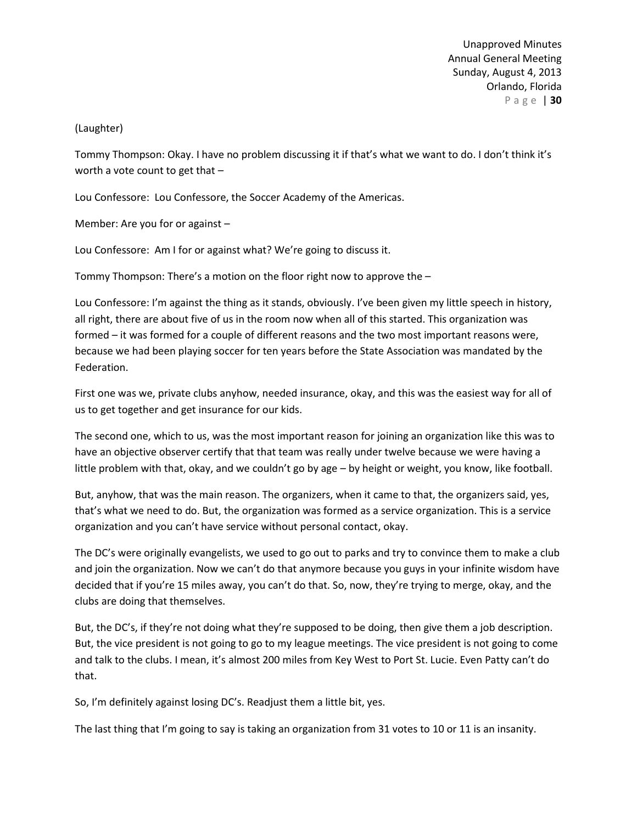# (Laughter)

Tommy Thompson: Okay. I have no problem discussing it if that's what we want to do. I don't think it's worth a vote count to get that –

Lou Confessore: Lou Confessore, the Soccer Academy of the Americas.

Member: Are you for or against –

Lou Confessore: Am I for or against what? We're going to discuss it.

Tommy Thompson: There's a motion on the floor right now to approve the –

Lou Confessore: I'm against the thing as it stands, obviously. I've been given my little speech in history, all right, there are about five of us in the room now when all of this started. This organization was formed – it was formed for a couple of different reasons and the two most important reasons were, because we had been playing soccer for ten years before the State Association was mandated by the Federation.

First one was we, private clubs anyhow, needed insurance, okay, and this was the easiest way for all of us to get together and get insurance for our kids.

The second one, which to us, was the most important reason for joining an organization like this was to have an objective observer certify that that team was really under twelve because we were having a little problem with that, okay, and we couldn't go by age – by height or weight, you know, like football.

But, anyhow, that was the main reason. The organizers, when it came to that, the organizers said, yes, that's what we need to do. But, the organization was formed as a service organization. This is a service organization and you can't have service without personal contact, okay.

The DC's were originally evangelists, we used to go out to parks and try to convince them to make a club and join the organization. Now we can't do that anymore because you guys in your infinite wisdom have decided that if you're 15 miles away, you can't do that. So, now, they're trying to merge, okay, and the clubs are doing that themselves.

But, the DC's, if they're not doing what they're supposed to be doing, then give them a job description. But, the vice president is not going to go to my league meetings. The vice president is not going to come and talk to the clubs. I mean, it's almost 200 miles from Key West to Port St. Lucie. Even Patty can't do that.

So, I'm definitely against losing DC's. Readjust them a little bit, yes.

The last thing that I'm going to say is taking an organization from 31 votes to 10 or 11 is an insanity.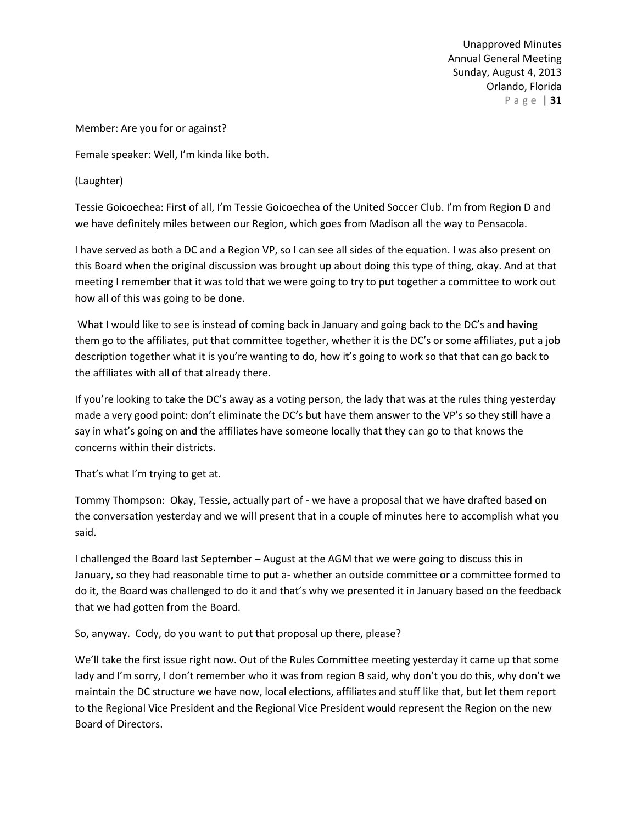Member: Are you for or against?

Female speaker: Well, I'm kinda like both.

(Laughter)

Tessie Goicoechea: First of all, I'm Tessie Goicoechea of the United Soccer Club. I'm from Region D and we have definitely miles between our Region, which goes from Madison all the way to Pensacola.

I have served as both a DC and a Region VP, so I can see all sides of the equation. I was also present on this Board when the original discussion was brought up about doing this type of thing, okay. And at that meeting I remember that it was told that we were going to try to put together a committee to work out how all of this was going to be done.

What I would like to see is instead of coming back in January and going back to the DC's and having them go to the affiliates, put that committee together, whether it is the DC's or some affiliates, put a job description together what it is you're wanting to do, how it's going to work so that that can go back to the affiliates with all of that already there.

If you're looking to take the DC's away as a voting person, the lady that was at the rules thing yesterday made a very good point: don't eliminate the DC's but have them answer to the VP's so they still have a say in what's going on and the affiliates have someone locally that they can go to that knows the concerns within their districts.

That's what I'm trying to get at.

Tommy Thompson: Okay, Tessie, actually part of - we have a proposal that we have drafted based on the conversation yesterday and we will present that in a couple of minutes here to accomplish what you said.

I challenged the Board last September – August at the AGM that we were going to discuss this in January, so they had reasonable time to put a- whether an outside committee or a committee formed to do it, the Board was challenged to do it and that's why we presented it in January based on the feedback that we had gotten from the Board.

So, anyway. Cody, do you want to put that proposal up there, please?

We'll take the first issue right now. Out of the Rules Committee meeting yesterday it came up that some lady and I'm sorry, I don't remember who it was from region B said, why don't you do this, why don't we maintain the DC structure we have now, local elections, affiliates and stuff like that, but let them report to the Regional Vice President and the Regional Vice President would represent the Region on the new Board of Directors.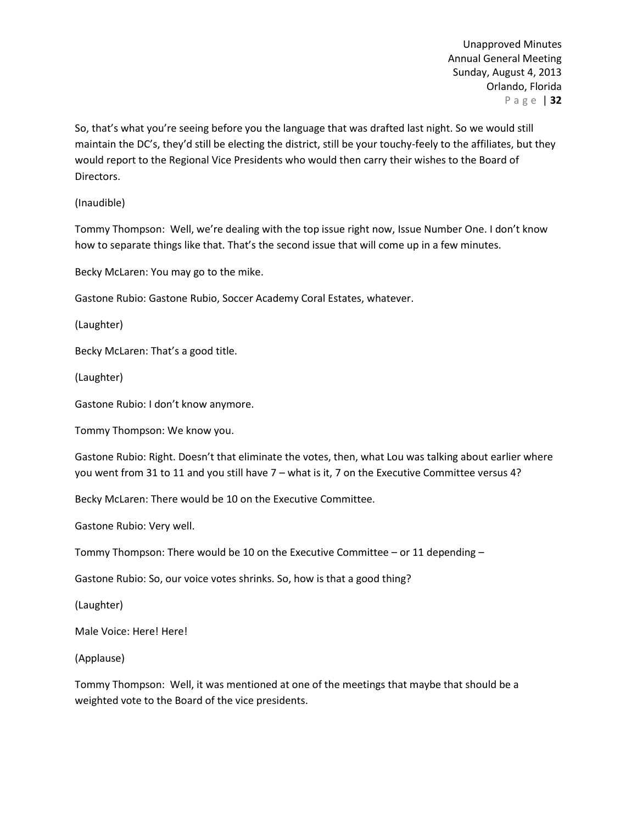So, that's what you're seeing before you the language that was drafted last night. So we would still maintain the DC's, they'd still be electing the district, still be your touchy-feely to the affiliates, but they would report to the Regional Vice Presidents who would then carry their wishes to the Board of Directors.

(Inaudible)

Tommy Thompson: Well, we're dealing with the top issue right now, Issue Number One. I don't know how to separate things like that. That's the second issue that will come up in a few minutes.

Becky McLaren: You may go to the mike.

Gastone Rubio: Gastone Rubio, Soccer Academy Coral Estates, whatever.

(Laughter)

Becky McLaren: That's a good title.

(Laughter)

Gastone Rubio: I don't know anymore.

Tommy Thompson: We know you.

Gastone Rubio: Right. Doesn't that eliminate the votes, then, what Lou was talking about earlier where you went from 31 to 11 and you still have 7 – what is it, 7 on the Executive Committee versus 4?

Becky McLaren: There would be 10 on the Executive Committee.

Gastone Rubio: Very well.

Tommy Thompson: There would be 10 on the Executive Committee – or 11 depending –

Gastone Rubio: So, our voice votes shrinks. So, how is that a good thing?

(Laughter)

Male Voice: Here! Here!

(Applause)

Tommy Thompson: Well, it was mentioned at one of the meetings that maybe that should be a weighted vote to the Board of the vice presidents.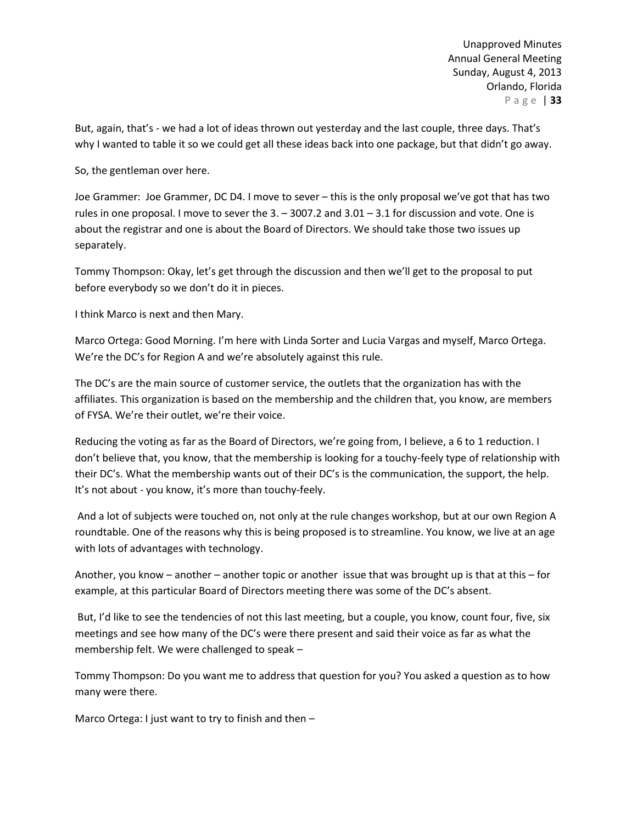But, again, that's - we had a lot of ideas thrown out yesterday and the last couple, three days. That's why I wanted to table it so we could get all these ideas back into one package, but that didn't go away.

So, the gentleman over here.

Joe Grammer: Joe Grammer, DC D4. I move to sever – this is the only proposal we've got that has two rules in one proposal. I move to sever the  $3. -3007.2$  and  $3.01 - 3.1$  for discussion and vote. One is about the registrar and one is about the Board of Directors. We should take those two issues up separately.

Tommy Thompson: Okay, let's get through the discussion and then we'll get to the proposal to put before everybody so we don't do it in pieces.

I think Marco is next and then Mary.

Marco Ortega: Good Morning. I'm here with Linda Sorter and Lucia Vargas and myself, Marco Ortega. We're the DC's for Region A and we're absolutely against this rule.

The DC's are the main source of customer service, the outlets that the organization has with the affiliates. This organization is based on the membership and the children that, you know, are members of FYSA. We're their outlet, we're their voice.

Reducing the voting as far as the Board of Directors, we're going from, I believe, a 6 to 1 reduction. I don't believe that, you know, that the membership is looking for a touchy-feely type of relationship with their DC's. What the membership wants out of their DC's is the communication, the support, the help. It's not about - you know, it's more than touchy-feely.

And a lot of subjects were touched on, not only at the rule changes workshop, but at our own Region A roundtable. One of the reasons why this is being proposed is to streamline. You know, we live at an age with lots of advantages with technology.

Another, you know – another – another topic or another issue that was brought up is that at this – for example, at this particular Board of Directors meeting there was some of the DC's absent.

But, I'd like to see the tendencies of not this last meeting, but a couple, you know, count four, five, six meetings and see how many of the DC's were there present and said their voice as far as what the membership felt. We were challenged to speak –

Tommy Thompson: Do you want me to address that question for you? You asked a question as to how many were there.

Marco Ortega: I just want to try to finish and then –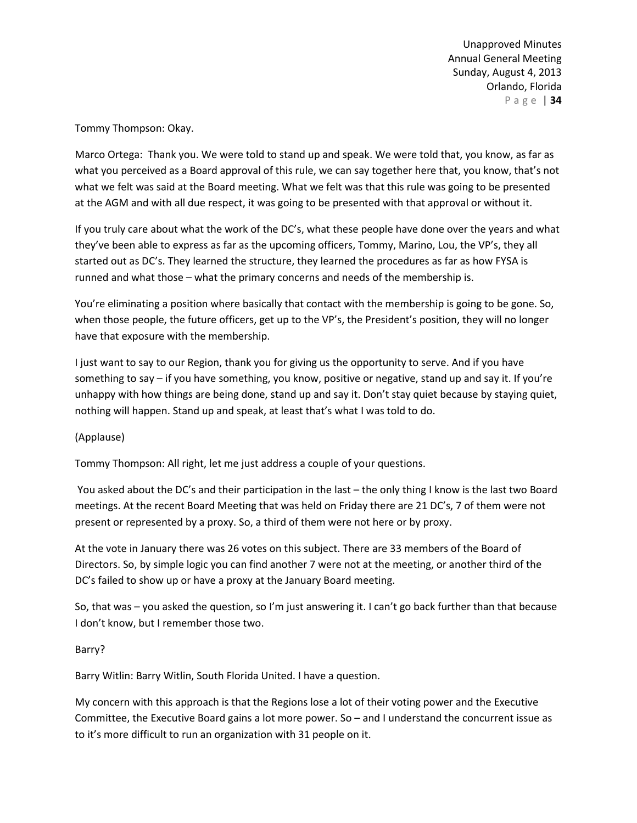Tommy Thompson: Okay.

Marco Ortega: Thank you. We were told to stand up and speak. We were told that, you know, as far as what you perceived as a Board approval of this rule, we can say together here that, you know, that's not what we felt was said at the Board meeting. What we felt was that this rule was going to be presented at the AGM and with all due respect, it was going to be presented with that approval or without it.

If you truly care about what the work of the DC's, what these people have done over the years and what they've been able to express as far as the upcoming officers, Tommy, Marino, Lou, the VP's, they all started out as DC's. They learned the structure, they learned the procedures as far as how FYSA is runned and what those – what the primary concerns and needs of the membership is.

You're eliminating a position where basically that contact with the membership is going to be gone. So, when those people, the future officers, get up to the VP's, the President's position, they will no longer have that exposure with the membership.

I just want to say to our Region, thank you for giving us the opportunity to serve. And if you have something to say – if you have something, you know, positive or negative, stand up and say it. If you're unhappy with how things are being done, stand up and say it. Don't stay quiet because by staying quiet, nothing will happen. Stand up and speak, at least that's what I was told to do.

# (Applause)

Tommy Thompson: All right, let me just address a couple of your questions.

You asked about the DC's and their participation in the last – the only thing I know is the last two Board meetings. At the recent Board Meeting that was held on Friday there are 21 DC's, 7 of them were not present or represented by a proxy. So, a third of them were not here or by proxy.

At the vote in January there was 26 votes on this subject. There are 33 members of the Board of Directors. So, by simple logic you can find another 7 were not at the meeting, or another third of the DC's failed to show up or have a proxy at the January Board meeting.

So, that was – you asked the question, so I'm just answering it. I can't go back further than that because I don't know, but I remember those two.

# Barry?

Barry Witlin: Barry Witlin, South Florida United. I have a question.

My concern with this approach is that the Regions lose a lot of their voting power and the Executive Committee, the Executive Board gains a lot more power. So – and I understand the concurrent issue as to it's more difficult to run an organization with 31 people on it.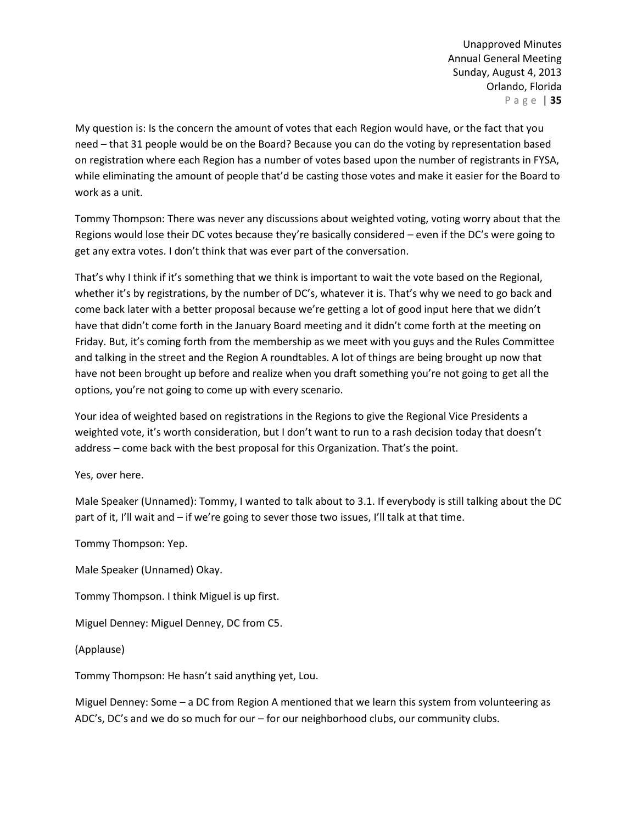My question is: Is the concern the amount of votes that each Region would have, or the fact that you need – that 31 people would be on the Board? Because you can do the voting by representation based on registration where each Region has a number of votes based upon the number of registrants in FYSA, while eliminating the amount of people that'd be casting those votes and make it easier for the Board to work as a unit.

Tommy Thompson: There was never any discussions about weighted voting, voting worry about that the Regions would lose their DC votes because they're basically considered – even if the DC's were going to get any extra votes. I don't think that was ever part of the conversation.

That's why I think if it's something that we think is important to wait the vote based on the Regional, whether it's by registrations, by the number of DC's, whatever it is. That's why we need to go back and come back later with a better proposal because we're getting a lot of good input here that we didn't have that didn't come forth in the January Board meeting and it didn't come forth at the meeting on Friday. But, it's coming forth from the membership as we meet with you guys and the Rules Committee and talking in the street and the Region A roundtables. A lot of things are being brought up now that have not been brought up before and realize when you draft something you're not going to get all the options, you're not going to come up with every scenario.

Your idea of weighted based on registrations in the Regions to give the Regional Vice Presidents a weighted vote, it's worth consideration, but I don't want to run to a rash decision today that doesn't address – come back with the best proposal for this Organization. That's the point.

Yes, over here.

Male Speaker (Unnamed): Tommy, I wanted to talk about to 3.1. If everybody is still talking about the DC part of it, I'll wait and – if we're going to sever those two issues, I'll talk at that time.

Tommy Thompson: Yep.

Male Speaker (Unnamed) Okay.

Tommy Thompson. I think Miguel is up first.

Miguel Denney: Miguel Denney, DC from C5.

(Applause)

Tommy Thompson: He hasn't said anything yet, Lou.

Miguel Denney: Some – a DC from Region A mentioned that we learn this system from volunteering as ADC's, DC's and we do so much for our – for our neighborhood clubs, our community clubs.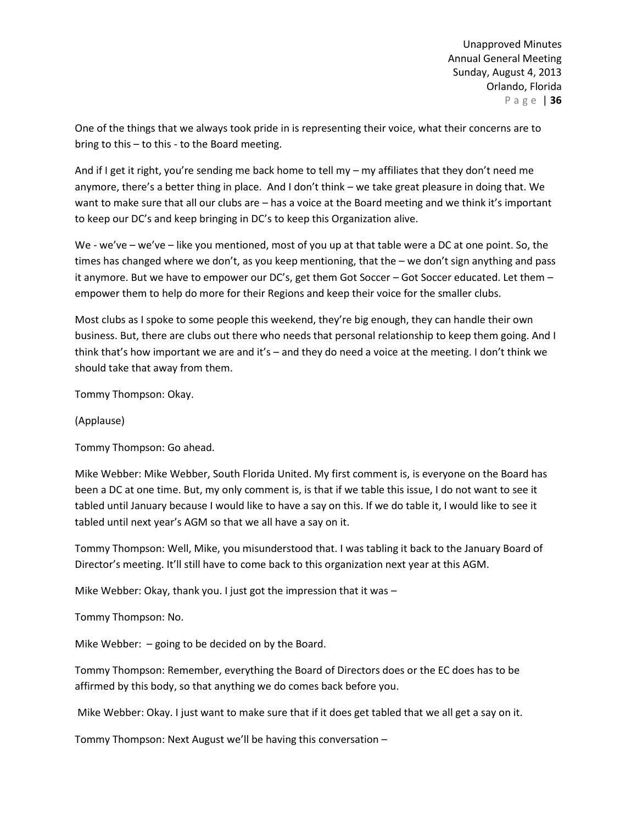One of the things that we always took pride in is representing their voice, what their concerns are to bring to this – to this - to the Board meeting.

And if I get it right, you're sending me back home to tell my – my affiliates that they don't need me anymore, there's a better thing in place. And I don't think – we take great pleasure in doing that. We want to make sure that all our clubs are – has a voice at the Board meeting and we think it's important to keep our DC's and keep bringing in DC's to keep this Organization alive.

We - we've – we've – like you mentioned, most of you up at that table were a DC at one point. So, the times has changed where we don't, as you keep mentioning, that the – we don't sign anything and pass it anymore. But we have to empower our DC's, get them Got Soccer – Got Soccer educated. Let them – empower them to help do more for their Regions and keep their voice for the smaller clubs.

Most clubs as I spoke to some people this weekend, they're big enough, they can handle their own business. But, there are clubs out there who needs that personal relationship to keep them going. And I think that's how important we are and it's – and they do need a voice at the meeting. I don't think we should take that away from them.

Tommy Thompson: Okay.

(Applause)

Tommy Thompson: Go ahead.

Mike Webber: Mike Webber, South Florida United. My first comment is, is everyone on the Board has been a DC at one time. But, my only comment is, is that if we table this issue, I do not want to see it tabled until January because I would like to have a say on this. If we do table it, I would like to see it tabled until next year's AGM so that we all have a say on it.

Tommy Thompson: Well, Mike, you misunderstood that. I was tabling it back to the January Board of Director's meeting. It'll still have to come back to this organization next year at this AGM.

Mike Webber: Okay, thank you. I just got the impression that it was –

Tommy Thompson: No.

Mike Webber: – going to be decided on by the Board.

Tommy Thompson: Remember, everything the Board of Directors does or the EC does has to be affirmed by this body, so that anything we do comes back before you.

Mike Webber: Okay. I just want to make sure that if it does get tabled that we all get a say on it.

Tommy Thompson: Next August we'll be having this conversation –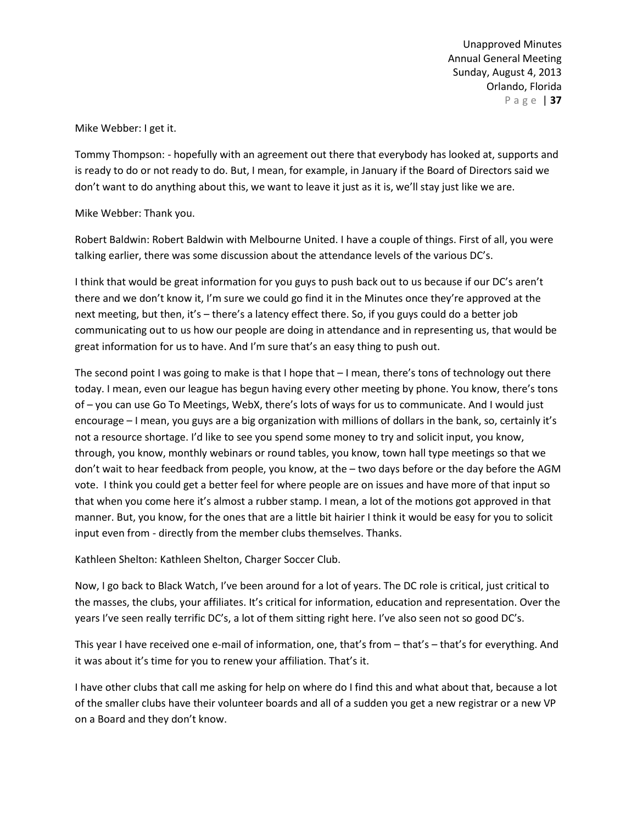Mike Webber: I get it.

Tommy Thompson: - hopefully with an agreement out there that everybody has looked at, supports and is ready to do or not ready to do. But, I mean, for example, in January if the Board of Directors said we don't want to do anything about this, we want to leave it just as it is, we'll stay just like we are.

Mike Webber: Thank you.

Robert Baldwin: Robert Baldwin with Melbourne United. I have a couple of things. First of all, you were talking earlier, there was some discussion about the attendance levels of the various DC's.

I think that would be great information for you guys to push back out to us because if our DC's aren't there and we don't know it, I'm sure we could go find it in the Minutes once they're approved at the next meeting, but then, it's – there's a latency effect there. So, if you guys could do a better job communicating out to us how our people are doing in attendance and in representing us, that would be great information for us to have. And I'm sure that's an easy thing to push out.

The second point I was going to make is that I hope that  $-1$  mean, there's tons of technology out there today. I mean, even our league has begun having every other meeting by phone. You know, there's tons of – you can use Go To Meetings, WebX, there's lots of ways for us to communicate. And I would just encourage – I mean, you guys are a big organization with millions of dollars in the bank, so, certainly it's not a resource shortage. I'd like to see you spend some money to try and solicit input, you know, through, you know, monthly webinars or round tables, you know, town hall type meetings so that we don't wait to hear feedback from people, you know, at the – two days before or the day before the AGM vote. I think you could get a better feel for where people are on issues and have more of that input so that when you come here it's almost a rubber stamp. I mean, a lot of the motions got approved in that manner. But, you know, for the ones that are a little bit hairier I think it would be easy for you to solicit input even from - directly from the member clubs themselves. Thanks.

Kathleen Shelton: Kathleen Shelton, Charger Soccer Club.

Now, I go back to Black Watch, I've been around for a lot of years. The DC role is critical, just critical to the masses, the clubs, your affiliates. It's critical for information, education and representation. Over the years I've seen really terrific DC's, a lot of them sitting right here. I've also seen not so good DC's.

This year I have received one e-mail of information, one, that's from – that's – that's for everything. And it was about it's time for you to renew your affiliation. That's it.

I have other clubs that call me asking for help on where do I find this and what about that, because a lot of the smaller clubs have their volunteer boards and all of a sudden you get a new registrar or a new VP on a Board and they don't know.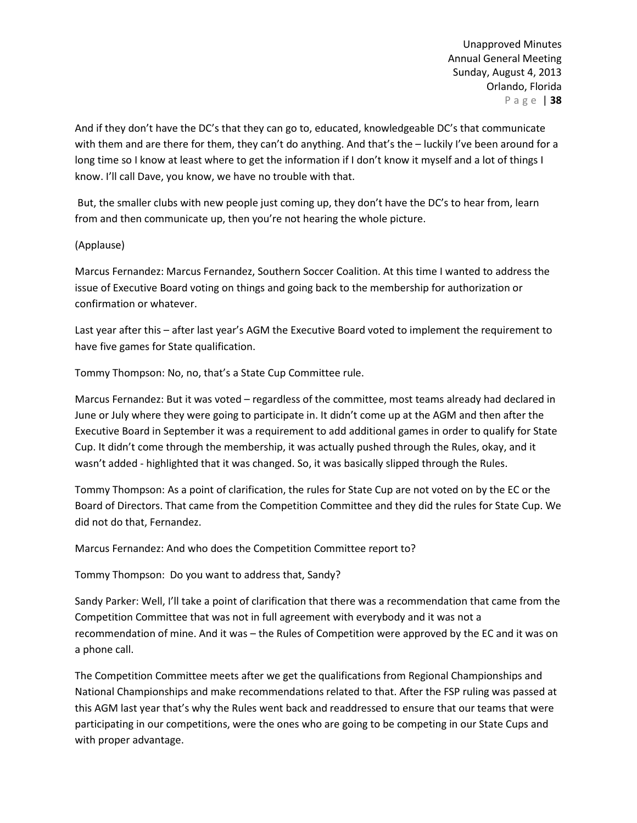And if they don't have the DC's that they can go to, educated, knowledgeable DC's that communicate with them and are there for them, they can't do anything. And that's the – luckily I've been around for a long time so I know at least where to get the information if I don't know it myself and a lot of things I know. I'll call Dave, you know, we have no trouble with that.

But, the smaller clubs with new people just coming up, they don't have the DC's to hear from, learn from and then communicate up, then you're not hearing the whole picture.

### (Applause)

Marcus Fernandez: Marcus Fernandez, Southern Soccer Coalition. At this time I wanted to address the issue of Executive Board voting on things and going back to the membership for authorization or confirmation or whatever.

Last year after this – after last year's AGM the Executive Board voted to implement the requirement to have five games for State qualification.

Tommy Thompson: No, no, that's a State Cup Committee rule.

Marcus Fernandez: But it was voted – regardless of the committee, most teams already had declared in June or July where they were going to participate in. It didn't come up at the AGM and then after the Executive Board in September it was a requirement to add additional games in order to qualify for State Cup. It didn't come through the membership, it was actually pushed through the Rules, okay, and it wasn't added - highlighted that it was changed. So, it was basically slipped through the Rules.

Tommy Thompson: As a point of clarification, the rules for State Cup are not voted on by the EC or the Board of Directors. That came from the Competition Committee and they did the rules for State Cup. We did not do that, Fernandez.

Marcus Fernandez: And who does the Competition Committee report to?

Tommy Thompson: Do you want to address that, Sandy?

Sandy Parker: Well, I'll take a point of clarification that there was a recommendation that came from the Competition Committee that was not in full agreement with everybody and it was not a recommendation of mine. And it was – the Rules of Competition were approved by the EC and it was on a phone call.

The Competition Committee meets after we get the qualifications from Regional Championships and National Championships and make recommendations related to that. After the FSP ruling was passed at this AGM last year that's why the Rules went back and readdressed to ensure that our teams that were participating in our competitions, were the ones who are going to be competing in our State Cups and with proper advantage.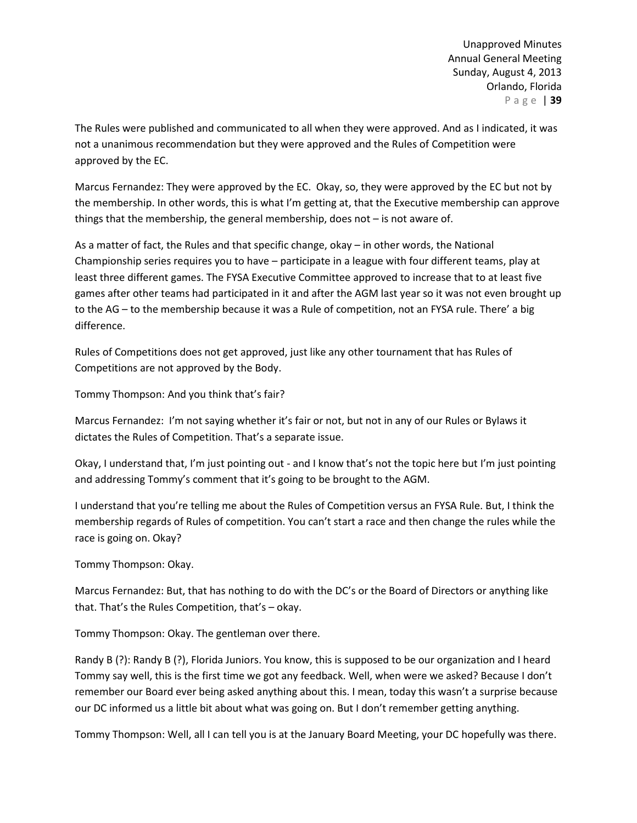The Rules were published and communicated to all when they were approved. And as I indicated, it was not a unanimous recommendation but they were approved and the Rules of Competition were approved by the EC.

Marcus Fernandez: They were approved by the EC. Okay, so, they were approved by the EC but not by the membership. In other words, this is what I'm getting at, that the Executive membership can approve things that the membership, the general membership, does not – is not aware of.

As a matter of fact, the Rules and that specific change, okay – in other words, the National Championship series requires you to have – participate in a league with four different teams, play at least three different games. The FYSA Executive Committee approved to increase that to at least five games after other teams had participated in it and after the AGM last year so it was not even brought up to the AG – to the membership because it was a Rule of competition, not an FYSA rule. There' a big difference.

Rules of Competitions does not get approved, just like any other tournament that has Rules of Competitions are not approved by the Body.

Tommy Thompson: And you think that's fair?

Marcus Fernandez: I'm not saying whether it's fair or not, but not in any of our Rules or Bylaws it dictates the Rules of Competition. That's a separate issue.

Okay, I understand that, I'm just pointing out - and I know that's not the topic here but I'm just pointing and addressing Tommy's comment that it's going to be brought to the AGM.

I understand that you're telling me about the Rules of Competition versus an FYSA Rule. But, I think the membership regards of Rules of competition. You can't start a race and then change the rules while the race is going on. Okay?

Tommy Thompson: Okay.

Marcus Fernandez: But, that has nothing to do with the DC's or the Board of Directors or anything like that. That's the Rules Competition, that's – okay.

Tommy Thompson: Okay. The gentleman over there.

Randy B (?): Randy B (?), Florida Juniors. You know, this is supposed to be our organization and I heard Tommy say well, this is the first time we got any feedback. Well, when were we asked? Because I don't remember our Board ever being asked anything about this. I mean, today this wasn't a surprise because our DC informed us a little bit about what was going on. But I don't remember getting anything.

Tommy Thompson: Well, all I can tell you is at the January Board Meeting, your DC hopefully was there.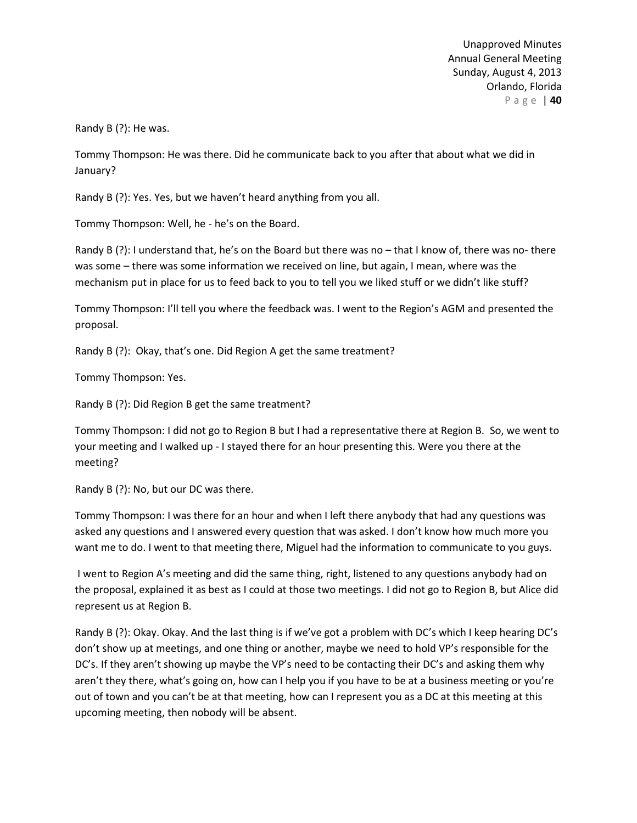Randy B (?): He was.

Tommy Thompson: He was there. Did he communicate back to you after that about what we did in January?

Randy B (?): Yes. Yes, but we haven't heard anything from you all.

Tommy Thompson: Well, he - he's on the Board.

Randy B (?): I understand that, he's on the Board but there was no – that I know of, there was no- there was some – there was some information we received on line, but again, I mean, where was the mechanism put in place for us to feed back to you to tell you we liked stuff or we didn't like stuff?

Tommy Thompson: I'll tell you where the feedback was. I went to the Region's AGM and presented the proposal.

Randy B (?): Okay, that's one. Did Region A get the same treatment?

Tommy Thompson: Yes.

Randy B (?): Did Region B get the same treatment?

Tommy Thompson: I did not go to Region B but I had a representative there at Region B. So, we went to your meeting and I walked up - I stayed there for an hour presenting this. Were you there at the meeting?

Randy B (?): No, but our DC was there.

Tommy Thompson: I was there for an hour and when I left there anybody that had any questions was asked any questions and I answered every question that was asked. I don't know how much more you want me to do. I went to that meeting there, Miguel had the information to communicate to you guys.

I went to Region A's meeting and did the same thing, right, listened to any questions anybody had on the proposal, explained it as best as I could at those two meetings. I did not go to Region B, but Alice did represent us at Region B.

Randy B (?): Okay. Okay. And the last thing is if we've got a problem with DC's which I keep hearing DC's don't show up at meetings, and one thing or another, maybe we need to hold VP's responsible for the DC's. If they aren't showing up maybe the VP's need to be contacting their DC's and asking them why aren't they there, what's going on, how can I help you if you have to be at a business meeting or you're out of town and you can't be at that meeting, how can I represent you as a DC at this meeting at this upcoming meeting, then nobody will be absent.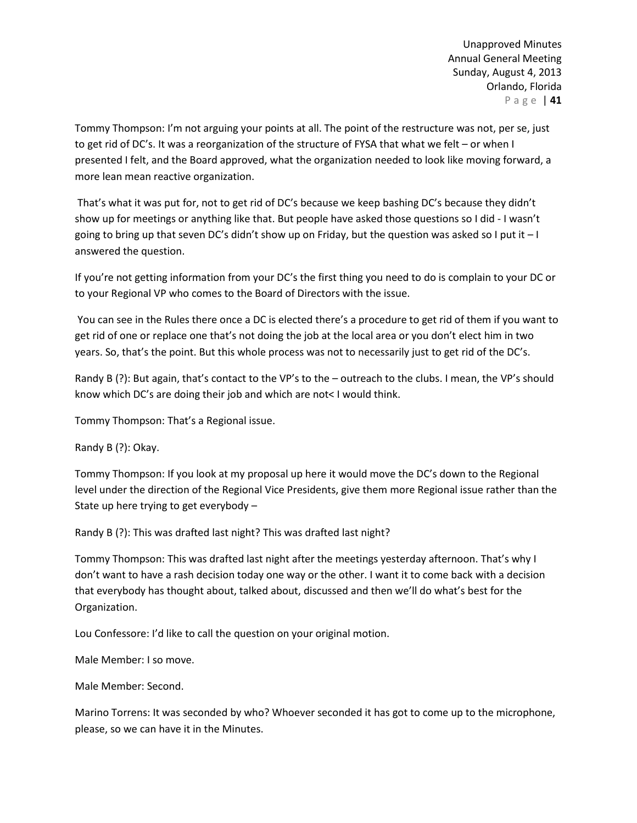Tommy Thompson: I'm not arguing your points at all. The point of the restructure was not, per se, just to get rid of DC's. It was a reorganization of the structure of FYSA that what we felt – or when I presented I felt, and the Board approved, what the organization needed to look like moving forward, a more lean mean reactive organization.

That's what it was put for, not to get rid of DC's because we keep bashing DC's because they didn't show up for meetings or anything like that. But people have asked those questions so I did - I wasn't going to bring up that seven DC's didn't show up on Friday, but the question was asked so I put it – I answered the question.

If you're not getting information from your DC's the first thing you need to do is complain to your DC or to your Regional VP who comes to the Board of Directors with the issue.

You can see in the Rules there once a DC is elected there's a procedure to get rid of them if you want to get rid of one or replace one that's not doing the job at the local area or you don't elect him in two years. So, that's the point. But this whole process was not to necessarily just to get rid of the DC's.

Randy B (?): But again, that's contact to the VP's to the – outreach to the clubs. I mean, the VP's should know which DC's are doing their job and which are not< I would think.

Tommy Thompson: That's a Regional issue.

Randy B (?): Okay.

Tommy Thompson: If you look at my proposal up here it would move the DC's down to the Regional level under the direction of the Regional Vice Presidents, give them more Regional issue rather than the State up here trying to get everybody –

Randy B (?): This was drafted last night? This was drafted last night?

Tommy Thompson: This was drafted last night after the meetings yesterday afternoon. That's why I don't want to have a rash decision today one way or the other. I want it to come back with a decision that everybody has thought about, talked about, discussed and then we'll do what's best for the Organization.

Lou Confessore: I'd like to call the question on your original motion.

Male Member: I so move.

Male Member: Second.

Marino Torrens: It was seconded by who? Whoever seconded it has got to come up to the microphone, please, so we can have it in the Minutes.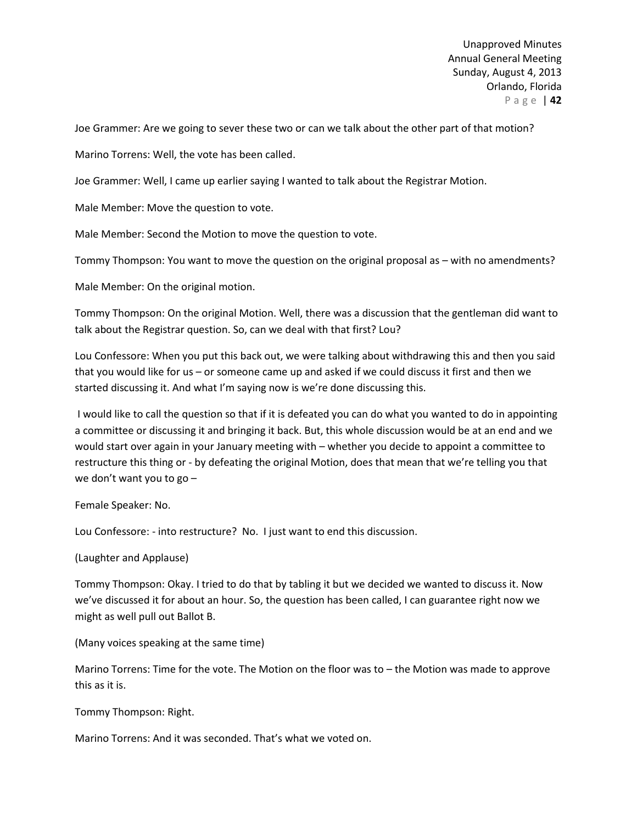Joe Grammer: Are we going to sever these two or can we talk about the other part of that motion?

Marino Torrens: Well, the vote has been called.

Joe Grammer: Well, I came up earlier saying I wanted to talk about the Registrar Motion.

Male Member: Move the question to vote.

Male Member: Second the Motion to move the question to vote.

Tommy Thompson: You want to move the question on the original proposal as – with no amendments?

Male Member: On the original motion.

Tommy Thompson: On the original Motion. Well, there was a discussion that the gentleman did want to talk about the Registrar question. So, can we deal with that first? Lou?

Lou Confessore: When you put this back out, we were talking about withdrawing this and then you said that you would like for us – or someone came up and asked if we could discuss it first and then we started discussing it. And what I'm saying now is we're done discussing this.

I would like to call the question so that if it is defeated you can do what you wanted to do in appointing a committee or discussing it and bringing it back. But, this whole discussion would be at an end and we would start over again in your January meeting with – whether you decide to appoint a committee to restructure this thing or - by defeating the original Motion, does that mean that we're telling you that we don't want you to go –

Female Speaker: No.

Lou Confessore: - into restructure? No. I just want to end this discussion.

(Laughter and Applause)

Tommy Thompson: Okay. I tried to do that by tabling it but we decided we wanted to discuss it. Now we've discussed it for about an hour. So, the question has been called, I can guarantee right now we might as well pull out Ballot B.

(Many voices speaking at the same time)

Marino Torrens: Time for the vote. The Motion on the floor was to – the Motion was made to approve this as it is.

Tommy Thompson: Right.

Marino Torrens: And it was seconded. That's what we voted on.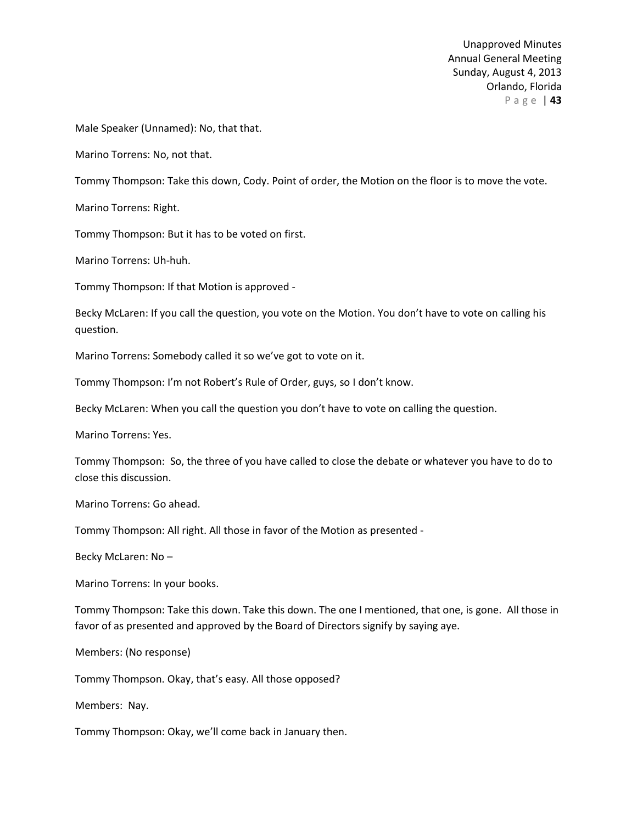Male Speaker (Unnamed): No, that that.

Marino Torrens: No, not that.

Tommy Thompson: Take this down, Cody. Point of order, the Motion on the floor is to move the vote.

Marino Torrens: Right.

Tommy Thompson: But it has to be voted on first.

Marino Torrens: Uh-huh.

Tommy Thompson: If that Motion is approved -

Becky McLaren: If you call the question, you vote on the Motion. You don't have to vote on calling his question.

Marino Torrens: Somebody called it so we've got to vote on it.

Tommy Thompson: I'm not Robert's Rule of Order, guys, so I don't know.

Becky McLaren: When you call the question you don't have to vote on calling the question.

Marino Torrens: Yes.

Tommy Thompson: So, the three of you have called to close the debate or whatever you have to do to close this discussion.

Marino Torrens: Go ahead.

Tommy Thompson: All right. All those in favor of the Motion as presented -

Becky McLaren: No –

Marino Torrens: In your books.

Tommy Thompson: Take this down. Take this down. The one I mentioned, that one, is gone. All those in favor of as presented and approved by the Board of Directors signify by saying aye.

Members: (No response)

Tommy Thompson. Okay, that's easy. All those opposed?

Members: Nay.

Tommy Thompson: Okay, we'll come back in January then.